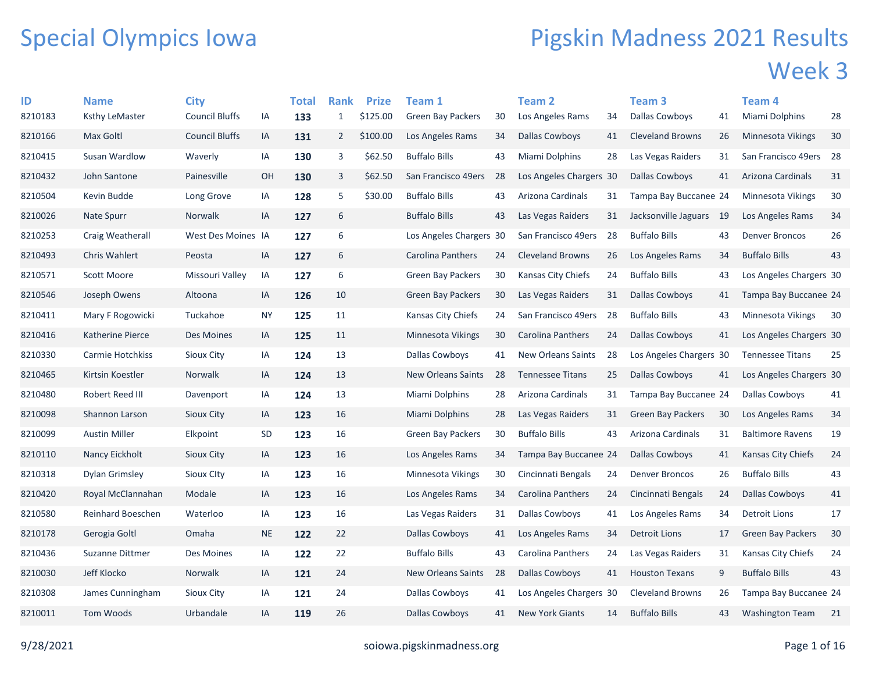## Special Olympics Iowa

## Pigskin Madness 2021 Results Week 3

| ID      | <b>Name</b>           | <b>City</b>           |           | Total | <b>Rank</b>    | <b>Prize</b> | Team 1                    |    | <b>Team 2</b>             |     | Team 3                   |    | Team 4                  |    |
|---------|-----------------------|-----------------------|-----------|-------|----------------|--------------|---------------------------|----|---------------------------|-----|--------------------------|----|-------------------------|----|
| 8210183 | <b>Ksthy LeMaster</b> | <b>Council Bluffs</b> | IA        | 133   | $\mathbf{1}$   | \$125.00     | <b>Green Bay Packers</b>  | 30 | Los Angeles Rams          | 34  | <b>Dallas Cowboys</b>    | 41 | Miami Dolphins          | 28 |
| 8210166 | Max Goltl             | <b>Council Bluffs</b> | IA        | 131   | $\overline{2}$ | \$100.00     | Los Angeles Rams          | 34 | Dallas Cowboys            | 41  | <b>Cleveland Browns</b>  | 26 | Minnesota Vikings       | 30 |
| 8210415 | Susan Wardlow         | Waverly               | IA        | 130   | 3              | \$62.50      | <b>Buffalo Bills</b>      | 43 | Miami Dolphins            | 28  | Las Vegas Raiders        | 31 | San Francisco 49ers 28  |    |
| 8210432 | John Santone          | Painesville           | OH        | 130   | 3              | \$62.50      | San Francisco 49ers       | 28 | Los Angeles Chargers 30   |     | <b>Dallas Cowboys</b>    | 41 | Arizona Cardinals       | 31 |
| 8210504 | Kevin Budde           | Long Grove            | IA        | 128   | 5              | \$30.00      | <b>Buffalo Bills</b>      | 43 | Arizona Cardinals         | 31  | Tampa Bay Buccanee 24    |    | Minnesota Vikings       | 30 |
| 8210026 | Nate Spurr            | Norwalk               | IA        | 127   | 6              |              | <b>Buffalo Bills</b>      | 43 | Las Vegas Raiders         | 31  | Jacksonville Jaguars 19  |    | Los Angeles Rams        | 34 |
| 8210253 | Craig Weatherall      | West Des Moines IA    |           | 127   | 6              |              | Los Angeles Chargers 30   |    | San Francisco 49ers       | 28  | <b>Buffalo Bills</b>     | 43 | <b>Denver Broncos</b>   | 26 |
| 8210493 | <b>Chris Wahlert</b>  | Peosta                | IA        | 127   | 6              |              | Carolina Panthers         | 24 | <b>Cleveland Browns</b>   | 26  | Los Angeles Rams         | 34 | <b>Buffalo Bills</b>    | 43 |
| 8210571 | <b>Scott Moore</b>    | Missouri Valley       | IA        | 127   | 6              |              | <b>Green Bay Packers</b>  | 30 | Kansas City Chiefs        | 24  | <b>Buffalo Bills</b>     | 43 | Los Angeles Chargers 30 |    |
| 8210546 | Joseph Owens          | Altoona               | IA        | 126   | 10             |              | <b>Green Bay Packers</b>  | 30 | Las Vegas Raiders         | 31  | Dallas Cowboys           | 41 | Tampa Bay Buccanee 24   |    |
| 8210411 | Mary F Rogowicki      | Tuckahoe              | <b>NY</b> | 125   | 11             |              | Kansas City Chiefs        | 24 | San Francisco 49ers       | -28 | <b>Buffalo Bills</b>     | 43 | Minnesota Vikings       | 30 |
| 8210416 | Katherine Pierce      | Des Moines            | IA        | 125   | 11             |              | Minnesota Vikings         | 30 | Carolina Panthers         | 24  | Dallas Cowboys           | 41 | Los Angeles Chargers 30 |    |
| 8210330 | Carmie Hotchkiss      | Sioux City            | IA        | 124   | 13             |              | Dallas Cowboys            | 41 | <b>New Orleans Saints</b> | 28  | Los Angeles Chargers 30  |    | <b>Tennessee Titans</b> | 25 |
| 8210465 | Kirtsin Koestler      | Norwalk               | IA        | 124   | 13             |              | New Orleans Saints        | 28 | <b>Tennessee Titans</b>   | 25  | Dallas Cowboys           | 41 | Los Angeles Chargers 30 |    |
| 8210480 | Robert Reed III       | Davenport             | IA        | 124   | 13             |              | Miami Dolphins            | 28 | Arizona Cardinals         | 31  | Tampa Bay Buccanee 24    |    | <b>Dallas Cowboys</b>   | 41 |
| 8210098 | Shannon Larson        | Sioux City            | IA        | 123   | 16             |              | <b>Miami Dolphins</b>     | 28 | Las Vegas Raiders         | 31  | <b>Green Bay Packers</b> | 30 | Los Angeles Rams        | 34 |
| 8210099 | <b>Austin Miller</b>  | Elkpoint              | SD        | 123   | 16             |              | <b>Green Bay Packers</b>  | 30 | <b>Buffalo Bills</b>      | 43  | Arizona Cardinals        | 31 | <b>Baltimore Ravens</b> | 19 |
| 8210110 | Nancy Eickholt        | <b>Sioux City</b>     | IA        | 123   | 16             |              | Los Angeles Rams          | 34 | Tampa Bay Buccanee 24     |     | <b>Dallas Cowboys</b>    | 41 | Kansas City Chiefs      | 24 |
| 8210318 | <b>Dylan Grimsley</b> | Sioux Clty            | IA        | 123   | 16             |              | Minnesota Vikings         | 30 | Cincinnati Bengals        | 24  | <b>Denver Broncos</b>    | 26 | <b>Buffalo Bills</b>    | 43 |
| 8210420 | Royal McClannahan     | Modale                | IA        | 123   | 16             |              | Los Angeles Rams          | 34 | Carolina Panthers         | 24  | Cincinnati Bengals       | 24 | <b>Dallas Cowboys</b>   | 41 |
| 8210580 | Reinhard Boeschen     | Waterloo              | IA        | 123   | 16             |              | Las Vegas Raiders         | 31 | Dallas Cowboys            | 41  | Los Angeles Rams         | 34 | Detroit Lions           | 17 |
| 8210178 | Gerogia Goltl         | Omaha                 | <b>NE</b> | 122   | 22             |              | Dallas Cowboys            | 41 | Los Angeles Rams          | 34  | <b>Detroit Lions</b>     | 17 | Green Bay Packers       | 30 |
| 8210436 | Suzanne Dittmer       | Des Moines            | IA        | 122   | 22             |              | <b>Buffalo Bills</b>      | 43 | Carolina Panthers         | 24  | Las Vegas Raiders        | 31 | Kansas City Chiefs      | 24 |
| 8210030 | Jeff Klocko           | <b>Norwalk</b>        | IA        | 121   | 24             |              | <b>New Orleans Saints</b> | 28 | Dallas Cowboys            | 41  | <b>Houston Texans</b>    | 9  | <b>Buffalo Bills</b>    | 43 |
| 8210308 | James Cunningham      | Sioux City            | IA        | 121   | 24             |              | <b>Dallas Cowboys</b>     | 41 | Los Angeles Chargers 30   |     | <b>Cleveland Browns</b>  | 26 | Tampa Bay Buccanee 24   |    |
| 8210011 | <b>Tom Woods</b>      | Urbandale             | IA        | 119   | 26             |              | <b>Dallas Cowboys</b>     | 41 | <b>New York Giants</b>    | 14  | <b>Buffalo Bills</b>     | 43 | <b>Washington Team</b>  | 21 |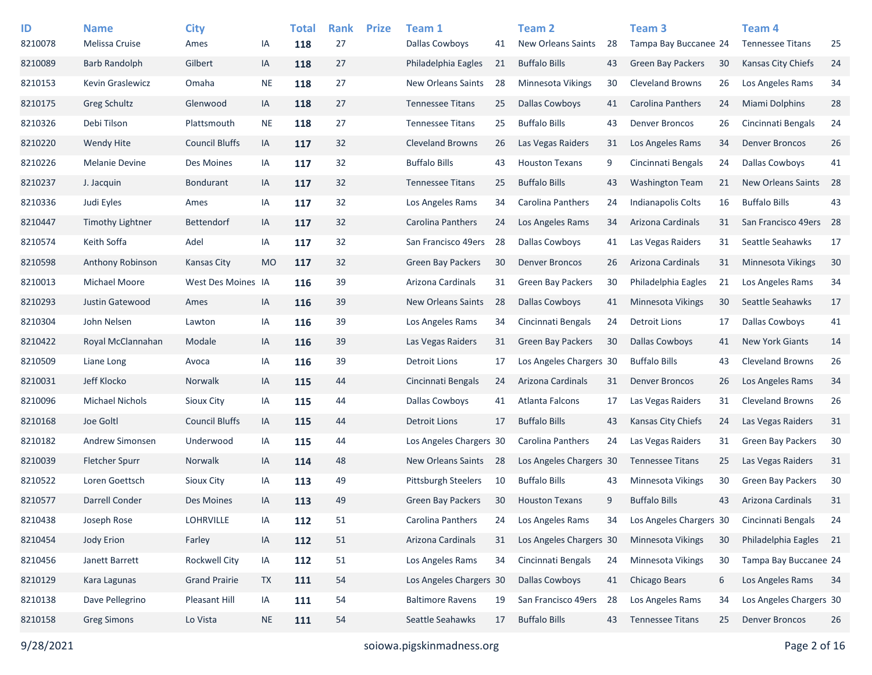| ID      | <b>Name</b>           | <b>City</b>           |           | <b>Total</b> | <b>Rank</b> | <b>Prize</b> | Team 1                     |    | <b>Team 2</b>             |    | Team <sub>3</sub>        |    | Team <sub>4</sub>         |    |
|---------|-----------------------|-----------------------|-----------|--------------|-------------|--------------|----------------------------|----|---------------------------|----|--------------------------|----|---------------------------|----|
| 8210078 | Melissa Cruise        | Ames                  | ΙA        | 118          | 27          |              | <b>Dallas Cowboys</b>      | 41 | <b>New Orleans Saints</b> | 28 | Tampa Bay Buccanee 24    |    | <b>Tennessee Titans</b>   | 25 |
| 8210089 | <b>Barb Randolph</b>  | Gilbert               | IA        | 118          | 27          |              | Philadelphia Eagles        | 21 | <b>Buffalo Bills</b>      | 43 | <b>Green Bay Packers</b> | 30 | <b>Kansas City Chiefs</b> | 24 |
| 8210153 | Kevin Graslewicz      | Omaha                 | <b>NE</b> | 118          | 27          |              | <b>New Orleans Saints</b>  | 28 | <b>Minnesota Vikings</b>  | 30 | <b>Cleveland Browns</b>  | 26 | Los Angeles Rams          | 34 |
| 8210175 | Greg Schultz          | Glenwood              | IA        | 118          | 27          |              | <b>Tennessee Titans</b>    | 25 | <b>Dallas Cowboys</b>     | 41 | <b>Carolina Panthers</b> | 24 | Miami Dolphins            | 28 |
| 8210326 | Debi Tilson           | Plattsmouth           | <b>NE</b> | 118          | 27          |              | <b>Tennessee Titans</b>    | 25 | <b>Buffalo Bills</b>      | 43 | <b>Denver Broncos</b>    | 26 | Cincinnati Bengals        | 24 |
| 8210220 | <b>Wendy Hite</b>     | <b>Council Bluffs</b> | IA        | 117          | 32          |              | <b>Cleveland Browns</b>    | 26 | Las Vegas Raiders         | 31 | Los Angeles Rams         | 34 | <b>Denver Broncos</b>     | 26 |
| 8210226 | <b>Melanie Devine</b> | Des Moines            | IA        | 117          | 32          |              | <b>Buffalo Bills</b>       | 43 | <b>Houston Texans</b>     | 9  | Cincinnati Bengals       | 24 | <b>Dallas Cowboys</b>     | 41 |
| 8210237 | J. Jacquin            | <b>Bondurant</b>      | IA        | 117          | 32          |              | <b>Tennessee Titans</b>    | 25 | <b>Buffalo Bills</b>      | 43 | <b>Washington Team</b>   | 21 | <b>New Orleans Saints</b> | 28 |
| 8210336 | Judi Eyles            | Ames                  | IA        | 117          | 32          |              | Los Angeles Rams           | 34 | <b>Carolina Panthers</b>  | 24 | Indianapolis Colts       | 16 | <b>Buffalo Bills</b>      | 43 |
| 8210447 | Timothy Lightner      | <b>Bettendorf</b>     | IA        | 117          | 32          |              | Carolina Panthers          | 24 | Los Angeles Rams          | 34 | Arizona Cardinals        | 31 | San Francisco 49ers       | 28 |
| 8210574 | Keith Soffa           | Adel                  | IA        | 117          | 32          |              | San Francisco 49ers        | 28 | <b>Dallas Cowboys</b>     | 41 | Las Vegas Raiders        | 31 | Seattle Seahawks          | 17 |
| 8210598 | Anthony Robinson      | Kansas City           | <b>MO</b> | 117          | 32          |              | Green Bay Packers          | 30 | <b>Denver Broncos</b>     | 26 | Arizona Cardinals        | 31 | <b>Minnesota Vikings</b>  | 30 |
| 8210013 | Michael Moore         | West Des Moines IA    |           | 116          | 39          |              | Arizona Cardinals          | 31 | <b>Green Bay Packers</b>  | 30 | Philadelphia Eagles      | 21 | Los Angeles Rams          | 34 |
| 8210293 | Justin Gatewood       | Ames                  | IA        | 116          | 39          |              | New Orleans Saints         | 28 | <b>Dallas Cowboys</b>     | 41 | Minnesota Vikings        | 30 | Seattle Seahawks          | 17 |
| 8210304 | John Nelsen           | Lawton                | IA        | 116          | 39          |              | Los Angeles Rams           | 34 | Cincinnati Bengals        | 24 | <b>Detroit Lions</b>     | 17 | <b>Dallas Cowboys</b>     | 41 |
| 8210422 | Royal McClannahan     | Modale                | IA        | 116          | 39          |              | Las Vegas Raiders          | 31 | <b>Green Bay Packers</b>  | 30 | Dallas Cowboys           | 41 | <b>New York Giants</b>    | 14 |
| 8210509 | Liane Long            | Avoca                 | IA        | 116          | 39          |              | <b>Detroit Lions</b>       | 17 | Los Angeles Chargers 30   |    | <b>Buffalo Bills</b>     | 43 | <b>Cleveland Browns</b>   | 26 |
| 8210031 | Jeff Klocko           | Norwalk               | IA        | 115          | 44          |              | Cincinnati Bengals         | 24 | Arizona Cardinals         | 31 | <b>Denver Broncos</b>    | 26 | Los Angeles Rams          | 34 |
| 8210096 | Michael Nichols       | <b>Sioux City</b>     | IA        | 115          | 44          |              | <b>Dallas Cowboys</b>      | 41 | Atlanta Falcons           | 17 | Las Vegas Raiders        | 31 | <b>Cleveland Browns</b>   | 26 |
| 8210168 | Joe Goltl             | <b>Council Bluffs</b> | IA        | 115          | 44          |              | <b>Detroit Lions</b>       | 17 | <b>Buffalo Bills</b>      | 43 | Kansas City Chiefs       | 24 | Las Vegas Raiders         | 31 |
| 8210182 | Andrew Simonsen       | Underwood             | IA        | 115          | 44          |              | Los Angeles Chargers 30    |    | <b>Carolina Panthers</b>  | 24 | Las Vegas Raiders        | 31 | <b>Green Bay Packers</b>  | 30 |
| 8210039 | <b>Fletcher Spurr</b> | Norwalk               | IA        | 114          | 48          |              | <b>New Orleans Saints</b>  | 28 | Los Angeles Chargers 30   |    | <b>Tennessee Titans</b>  | 25 | Las Vegas Raiders         | 31 |
| 8210522 | Loren Goettsch        | Sioux City            | IA        | 113          | 49          |              | <b>Pittsburgh Steelers</b> | 10 | <b>Buffalo Bills</b>      | 43 | Minnesota Vikings        | 30 | <b>Green Bay Packers</b>  | 30 |
| 8210577 | Darrell Conder        | Des Moines            | IA        | 113          | 49          |              | <b>Green Bay Packers</b>   | 30 | <b>Houston Texans</b>     | 9  | <b>Buffalo Bills</b>     | 43 | Arizona Cardinals         | 31 |
| 8210438 | Joseph Rose           | <b>LOHRVILLE</b>      | IA        | 112          | 51          |              | Carolina Panthers          | 24 | Los Angeles Rams          | 34 | Los Angeles Chargers 30  |    | Cincinnati Bengals        | 24 |
| 8210454 | <b>Jody Erion</b>     | Farley                | IA        | 112          | 51          |              | Arizona Cardinals          | 31 | Los Angeles Chargers 30   |    | Minnesota Vikings        | 30 | Philadelphia Eagles 21    |    |
| 8210456 | Janett Barrett        | Rockwell City         | IA        | 112          | 51          |              | Los Angeles Rams           | 34 | Cincinnati Bengals        | 24 | Minnesota Vikings        | 30 | Tampa Bay Buccanee 24     |    |
| 8210129 | Kara Lagunas          | <b>Grand Prairie</b>  | <b>TX</b> | 111          | 54          |              | Los Angeles Chargers 30    |    | <b>Dallas Cowboys</b>     | 41 | Chicago Bears            | 6  | Los Angeles Rams          | 34 |
| 8210138 | Dave Pellegrino       | Pleasant Hill         | IA        | 111          | 54          |              | <b>Baltimore Ravens</b>    | 19 | San Francisco 49ers       | 28 | Los Angeles Rams         | 34 | Los Angeles Chargers 30   |    |
| 8210158 | <b>Greg Simons</b>    | Lo Vista              | <b>NE</b> | 111          | 54          |              | Seattle Seahawks           | 17 | <b>Buffalo Bills</b>      | 43 | <b>Tennessee Titans</b>  | 25 | <b>Denver Broncos</b>     | 26 |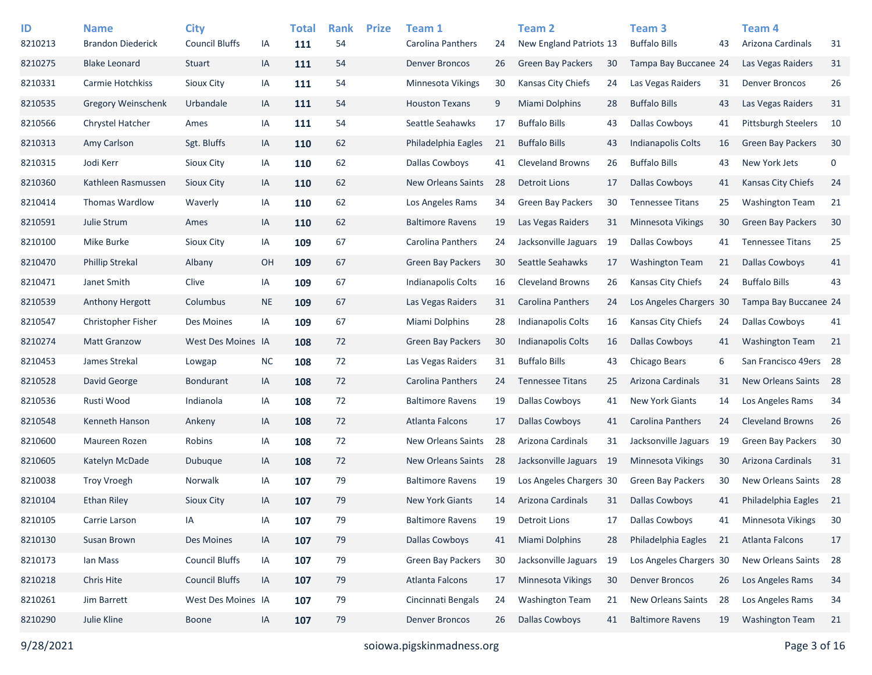| ID<br>8210213 | <b>Name</b><br><b>Brandon Diederick</b> | <b>City</b><br><b>Council Bluffs</b> | IA        | <b>Total</b><br>111 | <b>Rank</b><br>54 | <b>Prize</b> | Team 1<br>Carolina Panthers | 24 | <b>Team 2</b><br>New England Patriots 13 |      | Team <sub>3</sub><br><b>Buffalo Bills</b> | 43 | Team 4<br>Arizona Cardinals | 31 |
|---------------|-----------------------------------------|--------------------------------------|-----------|---------------------|-------------------|--------------|-----------------------------|----|------------------------------------------|------|-------------------------------------------|----|-----------------------------|----|
| 8210275       | <b>Blake Leonard</b>                    | Stuart                               | IA        | 111                 | 54                |              | <b>Denver Broncos</b>       | 26 | <b>Green Bay Packers</b>                 | 30   | Tampa Bay Buccanee 24                     |    | Las Vegas Raiders           | 31 |
| 8210331       | Carmie Hotchkiss                        | Sioux City                           | IA        | 111                 | 54                |              | Minnesota Vikings           | 30 | <b>Kansas City Chiefs</b>                | 24   | Las Vegas Raiders                         | 31 | <b>Denver Broncos</b>       | 26 |
| 8210535       | <b>Gregory Weinschenk</b>               | Urbandale                            | IA        | 111                 | 54                |              | <b>Houston Texans</b>       | 9  | Miami Dolphins                           | 28   | <b>Buffalo Bills</b>                      | 43 | Las Vegas Raiders           | 31 |
| 8210566       | Chrystel Hatcher                        | Ames                                 | IA        | 111                 | 54                |              | Seattle Seahawks            | 17 | <b>Buffalo Bills</b>                     | 43   | <b>Dallas Cowboys</b>                     | 41 | <b>Pittsburgh Steelers</b>  | 10 |
| 8210313       | Amy Carlson                             | Sgt. Bluffs                          | IA        | 110                 | 62                |              | Philadelphia Eagles         | 21 | <b>Buffalo Bills</b>                     | 43   | <b>Indianapolis Colts</b>                 | 16 | <b>Green Bay Packers</b>    | 30 |
| 8210315       | Jodi Kerr                               | Sioux City                           | IA        | 110                 | 62                |              | Dallas Cowboys              | 41 | <b>Cleveland Browns</b>                  | 26   | <b>Buffalo Bills</b>                      | 43 | New York Jets               | 0  |
| 8210360       | Kathleen Rasmussen                      | Sioux City                           | IA        | 110                 | 62                |              | <b>New Orleans Saints</b>   | 28 | <b>Detroit Lions</b>                     | 17   | <b>Dallas Cowboys</b>                     | 41 | Kansas City Chiefs          | 24 |
| 8210414       | Thomas Wardlow                          | Waverly                              | IA        | 110                 | 62                |              | Los Angeles Rams            | 34 | <b>Green Bay Packers</b>                 | 30   | <b>Tennessee Titans</b>                   | 25 | <b>Washington Team</b>      | 21 |
| 8210591       | Julie Strum                             | Ames                                 | IA        | 110                 | 62                |              | <b>Baltimore Ravens</b>     | 19 | Las Vegas Raiders                        | 31   | <b>Minnesota Vikings</b>                  | 30 | Green Bay Packers           | 30 |
| 8210100       | Mike Burke                              | Sioux City                           | IA        | 109                 | 67                |              | Carolina Panthers           | 24 | Jacksonville Jaguars                     | 19   | <b>Dallas Cowboys</b>                     | 41 | <b>Tennessee Titans</b>     | 25 |
| 8210470       | <b>Phillip Strekal</b>                  | Albany                               | OH        | 109                 | 67                |              | Green Bay Packers           | 30 | Seattle Seahawks                         | 17   | <b>Washington Team</b>                    | 21 | <b>Dallas Cowboys</b>       | 41 |
| 8210471       | Janet Smith                             | Clive                                | IA        | 109                 | 67                |              | Indianapolis Colts          | 16 | <b>Cleveland Browns</b>                  | 26   | Kansas City Chiefs                        | 24 | <b>Buffalo Bills</b>        | 43 |
| 8210539       | <b>Anthony Hergott</b>                  | Columbus                             | <b>NE</b> | 109                 | 67                |              | Las Vegas Raiders           | 31 | Carolina Panthers                        | 24   | Los Angeles Chargers 30                   |    | Tampa Bay Buccanee 24       |    |
| 8210547       | Christopher Fisher                      | Des Moines                           | IA        | 109                 | 67                |              | Miami Dolphins              | 28 | <b>Indianapolis Colts</b>                | 16   | Kansas City Chiefs                        | 24 | <b>Dallas Cowboys</b>       | 41 |
| 8210274       | <b>Matt Granzow</b>                     | West Des Moines IA                   |           | 108                 | 72                |              | Green Bay Packers           | 30 | <b>Indianapolis Colts</b>                | 16   | <b>Dallas Cowboys</b>                     | 41 | <b>Washington Team</b>      | 21 |
| 8210453       | James Strekal                           | Lowgap                               | <b>NC</b> | 108                 | $72\,$            |              | Las Vegas Raiders           | 31 | <b>Buffalo Bills</b>                     | 43   | Chicago Bears                             | 6  | San Francisco 49ers 28      |    |
| 8210528       | David George                            | <b>Bondurant</b>                     | IA        | 108                 | 72                |              | Carolina Panthers           | 24 | <b>Tennessee Titans</b>                  | 25   | Arizona Cardinals                         | 31 | New Orleans Saints          | 28 |
| 8210536       | Rusti Wood                              | Indianola                            | IA        | 108                 | 72                |              | <b>Baltimore Ravens</b>     | 19 | <b>Dallas Cowboys</b>                    | 41   | <b>New York Giants</b>                    | 14 | Los Angeles Rams            | 34 |
| 8210548       | Kenneth Hanson                          | Ankeny                               | IA        | 108                 | 72                |              | <b>Atlanta Falcons</b>      | 17 | <b>Dallas Cowboys</b>                    | 41   | <b>Carolina Panthers</b>                  | 24 | <b>Cleveland Browns</b>     | 26 |
| 8210600       | Maureen Rozen                           | Robins                               | IA        | 108                 | $72\,$            |              | <b>New Orleans Saints</b>   | 28 | Arizona Cardinals                        | 31   | Jacksonville Jaguars                      | 19 | <b>Green Bay Packers</b>    | 30 |
| 8210605       | Katelyn McDade                          | Dubuque                              | IA        | 108                 | 72                |              | <b>New Orleans Saints</b>   | 28 | Jacksonville Jaguars                     | - 19 | <b>Minnesota Vikings</b>                  | 30 | Arizona Cardinals           | 31 |
| 8210038       | <b>Troy Vroegh</b>                      | Norwalk                              | IA        | 107                 | 79                |              | <b>Baltimore Ravens</b>     | 19 | Los Angeles Chargers 30                  |      | <b>Green Bay Packers</b>                  | 30 | New Orleans Saints          | 28 |
| 8210104       | Ethan Riley                             | <b>Sioux City</b>                    | IA        | 107                 | 79                |              | <b>New York Giants</b>      | 14 | Arizona Cardinals                        | 31   | <b>Dallas Cowboys</b>                     | 41 | Philadelphia Eagles         | 21 |
| 8210105       | Carrie Larson                           | IA                                   | IA        | 107                 | 79                |              | <b>Baltimore Ravens</b>     | 19 | <b>Detroit Lions</b>                     | 17   | <b>Dallas Cowboys</b>                     | 41 | <b>Minnesota Vikings</b>    | 30 |
| 8210130       | Susan Brown                             | Des Moines                           | IA        | 107                 | 79                |              | <b>Dallas Cowboys</b>       | 41 | Miami Dolphins                           | 28   | Philadelphia Eagles                       | 21 | Atlanta Falcons             | 17 |
| 8210173       | lan Mass                                | <b>Council Bluffs</b>                | IA        | 107                 | 79                |              | Green Bay Packers           | 30 | Jacksonville Jaguars 19                  |      | Los Angeles Chargers 30                   |    | New Orleans Saints          | 28 |
| 8210218       | Chris Hite                              | <b>Council Bluffs</b>                | IA        | 107                 | 79                |              | Atlanta Falcons             | 17 | Minnesota Vikings                        | 30   | <b>Denver Broncos</b>                     | 26 | Los Angeles Rams            | 34 |
| 8210261       | Jim Barrett                             | West Des Moines IA                   |           | 107                 | 79                |              | Cincinnati Bengals          | 24 | <b>Washington Team</b>                   | 21   | New Orleans Saints                        | 28 | Los Angeles Rams            | 34 |
| 8210290       | Julie Kline                             | <b>Boone</b>                         | IA        | 107                 | 79                |              | <b>Denver Broncos</b>       | 26 | <b>Dallas Cowboys</b>                    | 41   | <b>Baltimore Ravens</b>                   | 19 | <b>Washington Team</b>      | 21 |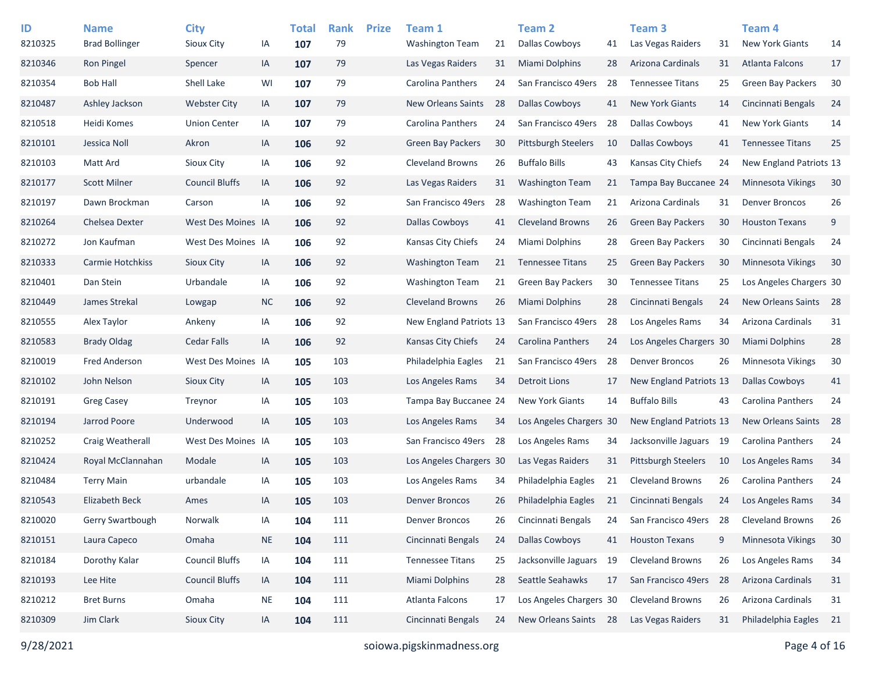| ID      | <b>Name</b>           | <b>City</b>           |           | <b>Total</b> | <b>Rank</b> | <b>Prize</b> | Team 1                    |    | <b>Team 2</b>              |    | Team 3                     |    | Team 4                   |    |
|---------|-----------------------|-----------------------|-----------|--------------|-------------|--------------|---------------------------|----|----------------------------|----|----------------------------|----|--------------------------|----|
| 8210325 | <b>Brad Bollinger</b> | Sioux City            | IA        | 107          | 79          |              | <b>Washington Team</b>    | 21 | <b>Dallas Cowboys</b>      | 41 | Las Vegas Raiders          | 31 | <b>New York Giants</b>   | 14 |
| 8210346 | Ron Pingel            | Spencer               | IA        | 107          | 79          |              | Las Vegas Raiders         | 31 | <b>Miami Dolphins</b>      | 28 | Arizona Cardinals          | 31 | <b>Atlanta Falcons</b>   | 17 |
| 8210354 | <b>Bob Hall</b>       | Shell Lake            | WI        | 107          | 79          |              | Carolina Panthers         | 24 | San Francisco 49ers        | 28 | <b>Tennessee Titans</b>    | 25 | <b>Green Bay Packers</b> | 30 |
| 8210487 | Ashley Jackson        | <b>Webster City</b>   | IA        | 107          | 79          |              | <b>New Orleans Saints</b> | 28 | <b>Dallas Cowboys</b>      | 41 | <b>New York Giants</b>     | 14 | Cincinnati Bengals       | 24 |
| 8210518 | Heidi Komes           | <b>Union Center</b>   | IA        | 107          | 79          |              | Carolina Panthers         | 24 | San Francisco 49ers        | 28 | <b>Dallas Cowboys</b>      | 41 | <b>New York Giants</b>   | 14 |
| 8210101 | Jessica Noll          | Akron                 | IA        | 106          | 92          |              | <b>Green Bay Packers</b>  | 30 | <b>Pittsburgh Steelers</b> | 10 | <b>Dallas Cowboys</b>      | 41 | <b>Tennessee Titans</b>  | 25 |
| 8210103 | Matt Ard              | Sioux City            | IA        | 106          | 92          |              | <b>Cleveland Browns</b>   | 26 | <b>Buffalo Bills</b>       | 43 | Kansas City Chiefs         | 24 | New England Patriots 13  |    |
| 8210177 | <b>Scott Milner</b>   | <b>Council Bluffs</b> | IA        | 106          | 92          |              | Las Vegas Raiders         | 31 | <b>Washington Team</b>     | 21 | Tampa Bay Buccanee 24      |    | Minnesota Vikings        | 30 |
| 8210197 | Dawn Brockman         | Carson                | ΙA        | 106          | 92          |              | San Francisco 49ers       | 28 | <b>Washington Team</b>     | 21 | Arizona Cardinals          | 31 | <b>Denver Broncos</b>    | 26 |
| 8210264 | Chelsea Dexter        | West Des Moines IA    |           | 106          | 92          |              | <b>Dallas Cowboys</b>     | 41 | <b>Cleveland Browns</b>    | 26 | <b>Green Bay Packers</b>   | 30 | <b>Houston Texans</b>    | 9  |
| 8210272 | Jon Kaufman           | West Des Moines IA    |           | 106          | 92          |              | Kansas City Chiefs        | 24 | Miami Dolphins             | 28 | <b>Green Bay Packers</b>   | 30 | Cincinnati Bengals       | 24 |
| 8210333 | Carmie Hotchkiss      | Sioux City            | IA        | 106          | 92          |              | <b>Washington Team</b>    | 21 | <b>Tennessee Titans</b>    | 25 | <b>Green Bay Packers</b>   | 30 | Minnesota Vikings        | 30 |
| 8210401 | Dan Stein             | Urbandale             | IA        | 106          | 92          |              | <b>Washington Team</b>    | 21 | <b>Green Bay Packers</b>   | 30 | <b>Tennessee Titans</b>    | 25 | Los Angeles Chargers 30  |    |
| 8210449 | James Strekal         | Lowgap                | <b>NC</b> | 106          | 92          |              | <b>Cleveland Browns</b>   | 26 | <b>Miami Dolphins</b>      | 28 | Cincinnati Bengals         | 24 | New Orleans Saints       | 28 |
| 8210555 | Alex Taylor           | Ankeny                | ΙA        | 106          | 92          |              | New England Patriots 13   |    | San Francisco 49ers        | 28 | Los Angeles Rams           | 34 | Arizona Cardinals        | 31 |
| 8210583 | <b>Brady Oldag</b>    | Cedar Falls           | IA        | 106          | 92          |              | Kansas City Chiefs        | 24 | Carolina Panthers          | 24 | Los Angeles Chargers 30    |    | Miami Dolphins           | 28 |
| 8210019 | <b>Fred Anderson</b>  | West Des Moines IA    |           | 105          | 103         |              | Philadelphia Eagles       | 21 | San Francisco 49ers        | 28 | <b>Denver Broncos</b>      | 26 | <b>Minnesota Vikings</b> | 30 |
| 8210102 | John Nelson           | Sioux City            | IA        | 105          | 103         |              | Los Angeles Rams          | 34 | Detroit Lions              | 17 | New England Patriots 13    |    | <b>Dallas Cowboys</b>    | 41 |
| 8210191 | <b>Greg Casey</b>     | Treynor               | ΙA        | 105          | 103         |              | Tampa Bay Buccanee 24     |    | New York Giants            | 14 | <b>Buffalo Bills</b>       | 43 | Carolina Panthers        | 24 |
| 8210194 | Jarrod Poore          | Underwood             | IA        | 105          | 103         |              | Los Angeles Rams          | 34 | Los Angeles Chargers 30    |    | New England Patriots 13    |    | New Orleans Saints       | 28 |
| 8210252 | Craig Weatherall      | West Des Moines IA    |           | 105          | 103         |              | San Francisco 49ers       | 28 | Los Angeles Rams           | 34 | Jacksonville Jaguars 19    |    | Carolina Panthers        | 24 |
| 8210424 | Royal McClannahan     | Modale                | IA        | 105          | 103         |              | Los Angeles Chargers 30   |    | Las Vegas Raiders          | 31 | <b>Pittsburgh Steelers</b> | 10 | Los Angeles Rams         | 34 |
| 8210484 | <b>Terry Main</b>     | urbandale             | ΙA        | 105          | 103         |              | Los Angeles Rams          | 34 | Philadelphia Eagles        | 21 | <b>Cleveland Browns</b>    | 26 | <b>Carolina Panthers</b> | 24 |
| 8210543 | <b>Elizabeth Beck</b> | Ames                  | IA        | 105          | 103         |              | <b>Denver Broncos</b>     | 26 | Philadelphia Eagles        | 21 | Cincinnati Bengals         | 24 | Los Angeles Rams         | 34 |
| 8210020 | Gerry Swartbough      | Norwalk               | ΙA        | 104          | 111         |              | <b>Denver Broncos</b>     | 26 | Cincinnati Bengals         | 24 | San Francisco 49ers        | 28 | <b>Cleveland Browns</b>  | 26 |
| 8210151 | Laura Capeco          | Omaha                 | <b>NE</b> | 104          | 111         |              | Cincinnati Bengals        | 24 | <b>Dallas Cowboys</b>      | 41 | <b>Houston Texans</b>      | 9  | Minnesota Vikings        | 30 |
| 8210184 | Dorothy Kalar         | <b>Council Bluffs</b> | IA        | 104          | 111         |              | <b>Tennessee Titans</b>   | 25 | Jacksonville Jaguars 19    |    | <b>Cleveland Browns</b>    | 26 | Los Angeles Rams         | 34 |
| 8210193 | Lee Hite              | <b>Council Bluffs</b> | IA        | 104          | 111         |              | Miami Dolphins            | 28 | Seattle Seahawks           | 17 | San Francisco 49ers        | 28 | Arizona Cardinals        | 31 |
| 8210212 | <b>Bret Burns</b>     | Omaha                 | <b>NE</b> | 104          | 111         |              | Atlanta Falcons           | 17 | Los Angeles Chargers 30    |    | <b>Cleveland Browns</b>    | 26 | Arizona Cardinals        | 31 |
| 8210309 | Jim Clark             | Sioux City            | IA        | 104          | 111         |              | Cincinnati Bengals        | 24 | New Orleans Saints 28      |    | Las Vegas Raiders          | 31 | Philadelphia Eagles      | 21 |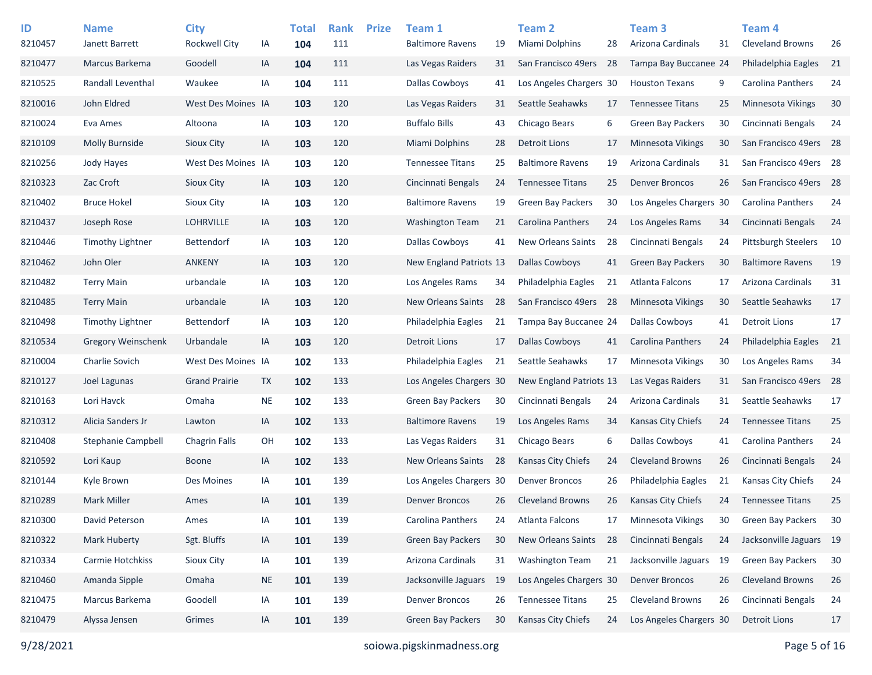| ID<br>8210457 | <b>Name</b><br>Janett Barrett | <b>City</b><br><b>Rockwell City</b> |           | <b>Total</b><br>104 | <b>Rank</b><br>111 | <b>Prize</b> | Team 1<br><b>Baltimore Ravens</b> |     | Team <sub>2</sub><br><b>Miami Dolphins</b> |     | <b>Team 3</b><br>Arizona Cardinals |    | Team 4<br><b>Cleveland Browns</b> |    |
|---------------|-------------------------------|-------------------------------------|-----------|---------------------|--------------------|--------------|-----------------------------------|-----|--------------------------------------------|-----|------------------------------------|----|-----------------------------------|----|
|               |                               |                                     | IA        |                     |                    |              |                                   | 19  |                                            | 28  |                                    | 31 |                                   | 26 |
| 8210477       | Marcus Barkema                | Goodell                             | IA        | 104                 | 111                |              | Las Vegas Raiders                 | 31  | San Francisco 49ers                        | -28 | Tampa Bay Buccanee 24              |    | Philadelphia Eagles               | 21 |
| 8210525       | Randall Leventhal             | Waukee                              | ΙA        | 104                 | 111                |              | Dallas Cowboys                    | 41  | Los Angeles Chargers 30                    |     | <b>Houston Texans</b>              | 9  | Carolina Panthers                 | 24 |
| 8210016       | John Eldred                   | West Des Moines IA                  |           | 103                 | 120                |              | Las Vegas Raiders                 | 31  | Seattle Seahawks                           | 17  | <b>Tennessee Titans</b>            | 25 | Minnesota Vikings                 | 30 |
| 8210024       | Eva Ames                      | Altoona                             | IA        | 103                 | 120                |              | <b>Buffalo Bills</b>              | 43  | Chicago Bears                              | 6   | <b>Green Bay Packers</b>           | 30 | Cincinnati Bengals                | 24 |
| 8210109       | <b>Molly Burnside</b>         | <b>Sioux City</b>                   | IA        | 103                 | 120                |              | Miami Dolphins                    | 28  | Detroit Lions                              | 17  | <b>Minnesota Vikings</b>           | 30 | San Francisco 49ers 28            |    |
| 8210256       | Jody Hayes                    | West Des Moines IA                  |           | 103                 | 120                |              | <b>Tennessee Titans</b>           | 25  | <b>Baltimore Ravens</b>                    | 19  | Arizona Cardinals                  | 31 | San Francisco 49ers 28            |    |
| 8210323       | Zac Croft                     | Sioux City                          | IA        | 103                 | 120                |              | Cincinnati Bengals                | 24  | <b>Tennessee Titans</b>                    | 25  | <b>Denver Broncos</b>              | 26 | San Francisco 49ers 28            |    |
| 8210402       | <b>Bruce Hokel</b>            | Sioux City                          | ΙA        | 103                 | 120                |              | <b>Baltimore Ravens</b>           | 19  | <b>Green Bay Packers</b>                   | 30  | Los Angeles Chargers 30            |    | Carolina Panthers                 | 24 |
| 8210437       | Joseph Rose                   | <b>LOHRVILLE</b>                    | IA        | 103                 | 120                |              | <b>Washington Team</b>            | 21  | Carolina Panthers                          | 24  | Los Angeles Rams                   | 34 | Cincinnati Bengals                | 24 |
| 8210446       | Timothy Lightner              | Bettendorf                          | ΙA        | 103                 | 120                |              | Dallas Cowboys                    | 41  | <b>New Orleans Saints</b>                  | 28  | Cincinnati Bengals                 | 24 | <b>Pittsburgh Steelers</b>        | 10 |
| 8210462       | John Oler                     | <b>ANKENY</b>                       | IA        | 103                 | 120                |              | New England Patriots 13           |     | <b>Dallas Cowboys</b>                      | 41  | <b>Green Bay Packers</b>           | 30 | <b>Baltimore Ravens</b>           | 19 |
| 8210482       | <b>Terry Main</b>             | urbandale                           | IA        | 103                 | 120                |              | Los Angeles Rams                  | 34  | Philadelphia Eagles                        | 21  | Atlanta Falcons                    | 17 | Arizona Cardinals                 | 31 |
| 8210485       | <b>Terry Main</b>             | urbandale                           | IA        | 103                 | 120                |              | New Orleans Saints                | -28 | San Francisco 49ers 28                     |     | Minnesota Vikings                  | 30 | Seattle Seahawks                  | 17 |
| 8210498       | <b>Timothy Lightner</b>       | Bettendorf                          | IA        | 103                 | 120                |              | Philadelphia Eagles               | 21  | Tampa Bay Buccanee 24                      |     | Dallas Cowboys                     | 41 | <b>Detroit Lions</b>              | 17 |
| 8210534       | Gregory Weinschenk            | Urbandale                           | IA        | 103                 | 120                |              | <b>Detroit Lions</b>              | 17  | <b>Dallas Cowboys</b>                      | 41  | <b>Carolina Panthers</b>           | 24 | Philadelphia Eagles               | 21 |
| 8210004       | Charlie Sovich                | West Des Moines IA                  |           | 102                 | 133                |              | Philadelphia Eagles               | 21  | Seattle Seahawks                           | 17  | Minnesota Vikings                  | 30 | Los Angeles Rams                  | 34 |
| 8210127       | Joel Lagunas                  | <b>Grand Prairie</b>                | <b>TX</b> | 102                 | 133                |              | Los Angeles Chargers 30           |     | New England Patriots 13                    |     | Las Vegas Raiders                  | 31 | San Francisco 49ers 28            |    |
| 8210163       | Lori Havck                    | Omaha                               | <b>NE</b> | 102                 | 133                |              | Green Bay Packers                 | 30  | Cincinnati Bengals                         | 24  | Arizona Cardinals                  | 31 | Seattle Seahawks                  | 17 |
| 8210312       | Alicia Sanders Jr             | Lawton                              | IA        | 102                 | 133                |              | <b>Baltimore Ravens</b>           | 19  | Los Angeles Rams                           | 34  | <b>Kansas City Chiefs</b>          | 24 | <b>Tennessee Titans</b>           | 25 |
| 8210408       | <b>Stephanie Campbell</b>     | <b>Chagrin Falls</b>                | OH        | 102                 | 133                |              | Las Vegas Raiders                 | 31  | Chicago Bears                              | 6   | <b>Dallas Cowboys</b>              | 41 | Carolina Panthers                 | 24 |
| 8210592       | Lori Kaup                     | <b>Boone</b>                        | IA        | 102                 | 133                |              | New Orleans Saints                | -28 | Kansas City Chiefs                         | 24  | <b>Cleveland Browns</b>            | 26 | Cincinnati Bengals                | 24 |
| 8210144       | Kyle Brown                    | Des Moines                          | ΙA        | 101                 | 139                |              | Los Angeles Chargers 30           |     | <b>Denver Broncos</b>                      | 26  | Philadelphia Eagles                | 21 | Kansas City Chiefs                | 24 |
| 8210289       | <b>Mark Miller</b>            | Ames                                | IA        | 101                 | 139                |              | <b>Denver Broncos</b>             | 26  | <b>Cleveland Browns</b>                    | 26  | <b>Kansas City Chiefs</b>          | 24 | <b>Tennessee Titans</b>           | 25 |
| 8210300       | David Peterson                | Ames                                | IA        | 101                 | 139                |              | Carolina Panthers                 | 24  | Atlanta Falcons                            | 17  | Minnesota Vikings                  | 30 | Green Bay Packers                 | 30 |
| 8210322       | Mark Huberty                  | Sgt. Bluffs                         | IA        | 101                 | 139                |              | Green Bay Packers                 | 30  | New Orleans Saints                         | 28  | Cincinnati Bengals                 | 24 | Jacksonville Jaguars 19           |    |
| 8210334       | Carmie Hotchkiss              | Sioux City                          | IA        | 101                 | 139                |              | Arizona Cardinals                 | 31  | <b>Washington Team</b>                     | 21  | Jacksonville Jaguars 19            |    | Green Bay Packers                 | 30 |
| 8210460       | Amanda Sipple                 | Omaha                               | <b>NE</b> | 101                 | 139                |              | Jacksonville Jaguars              | -19 | Los Angeles Chargers 30                    |     | <b>Denver Broncos</b>              | 26 | <b>Cleveland Browns</b>           | 26 |
| 8210475       | Marcus Barkema                | Goodell                             | IA        | 101                 | 139                |              | <b>Denver Broncos</b>             | 26  | <b>Tennessee Titans</b>                    | 25  | <b>Cleveland Browns</b>            | 26 | Cincinnati Bengals                | 24 |
| 8210479       | Alyssa Jensen                 | Grimes                              | IA        | 101                 | 139                |              | Green Bay Packers                 | 30  | Kansas City Chiefs                         | 24  | Los Angeles Chargers 30            |    | <b>Detroit Lions</b>              | 17 |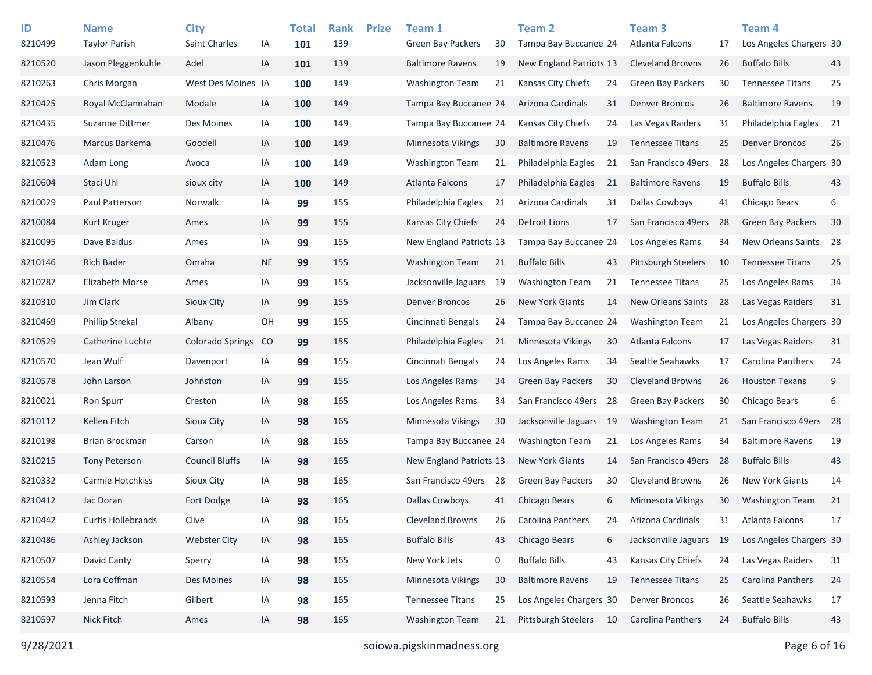| ID<br>8210499 | <b>Name</b><br><b>Taylor Parish</b> | <b>City</b><br><b>Saint Charles</b> | ΙA        | <b>Total</b><br>101 | <b>Rank</b><br>139 | <b>Prize</b> | Team 1<br><b>Green Bay Packers</b> | 30  | <b>Team 2</b><br>Tampa Bay Buccanee 24 |      | Team <sub>3</sub><br>Atlanta Falcons | 17 | Team <sub>4</sub><br>Los Angeles Chargers 30 |    |
|---------------|-------------------------------------|-------------------------------------|-----------|---------------------|--------------------|--------------|------------------------------------|-----|----------------------------------------|------|--------------------------------------|----|----------------------------------------------|----|
| 8210520       | Jason Pleggenkuhle                  | Adel                                | IA        | 101                 | 139                |              | <b>Baltimore Ravens</b>            | 19  | New England Patriots 13                |      | <b>Cleveland Browns</b>              | 26 | <b>Buffalo Bills</b>                         | 43 |
| 8210263       | Chris Morgan                        | West Des Moines IA                  |           | 100                 | 149                |              | <b>Washington Team</b>             | 21  | Kansas City Chiefs                     | 24   | <b>Green Bay Packers</b>             | 30 | <b>Tennessee Titans</b>                      | 25 |
| 8210425       | Royal McClannahan                   | Modale                              | IA        | 100                 | 149                |              | Tampa Bay Buccanee 24              |     | Arizona Cardinals                      | 31   | <b>Denver Broncos</b>                | 26 | <b>Baltimore Ravens</b>                      | 19 |
| 8210435       | Suzanne Dittmer                     | Des Moines                          | IA        | 100                 | 149                |              | Tampa Bay Buccanee 24              |     | Kansas City Chiefs                     | 24   | Las Vegas Raiders                    | 31 | Philadelphia Eagles                          | 21 |
| 8210476       | Marcus Barkema                      | Goodell                             | IA        | 100                 | 149                |              | <b>Minnesota Vikings</b>           | 30  | <b>Baltimore Ravens</b>                | 19   | <b>Tennessee Titans</b>              | 25 | <b>Denver Broncos</b>                        | 26 |
| 8210523       | Adam Long                           | Avoca                               | IA        | 100                 | 149                |              | Washington Team                    | 21  | Philadelphia Eagles                    | 21   | San Francisco 49ers                  | 28 | Los Angeles Chargers 30                      |    |
| 8210604       | Staci Uhl                           | sioux city                          | IA        | 100                 | 149                |              | Atlanta Falcons                    | 17  | Philadelphia Eagles                    | 21   | <b>Baltimore Ravens</b>              | 19 | <b>Buffalo Bills</b>                         | 43 |
| 8210029       | Paul Patterson                      | Norwalk                             | IA        | 99                  | 155                |              | Philadelphia Eagles                | 21  | Arizona Cardinals                      | 31   | Dallas Cowboys                       | 41 | Chicago Bears                                | 6  |
| 8210084       | Kurt Kruger                         | Ames                                | IA        | 99                  | 155                |              | Kansas City Chiefs                 | 24  | <b>Detroit Lions</b>                   | 17   | San Francisco 49ers                  | 28 | <b>Green Bay Packers</b>                     | 30 |
| 8210095       | Dave Baldus                         | Ames                                | IA        | 99                  | 155                |              | New England Patriots 13            |     | Tampa Bay Buccanee 24                  |      | Los Angeles Rams                     | 34 | New Orleans Saints                           | 28 |
| 8210146       | <b>Rich Bader</b>                   | Omaha                               | <b>NE</b> | 99                  | 155                |              | <b>Washington Team</b>             | 21  | <b>Buffalo Bills</b>                   | 43   | Pittsburgh Steelers                  | 10 | <b>Tennessee Titans</b>                      | 25 |
| 8210287       | Elizabeth Morse                     | Ames                                | IA        | 99                  | 155                |              | Jacksonville Jaguars               | 19  | <b>Washington Team</b>                 | 21   | <b>Tennessee Titans</b>              | 25 | Los Angeles Rams                             | 34 |
| 8210310       | Jim Clark                           | Sioux City                          | IA        | 99                  | 155                |              | <b>Denver Broncos</b>              | 26  | <b>New York Giants</b>                 | 14   | <b>New Orleans Saints</b>            | 28 | Las Vegas Raiders                            | 31 |
| 8210469       | <b>Phillip Strekal</b>              | Albany                              | OH        | 99                  | 155                |              | Cincinnati Bengals                 | 24  | Tampa Bay Buccanee 24                  |      | <b>Washington Team</b>               | 21 | Los Angeles Chargers 30                      |    |
| 8210529       | Catherine Luchte                    | Colorado Springs                    | CO        | 99                  | 155                |              | Philadelphia Eagles                | 21  | Minnesota Vikings                      | 30   | Atlanta Falcons                      | 17 | Las Vegas Raiders                            | 31 |
| 8210570       | Jean Wulf                           | Davenport                           | IA        | 99                  | 155                |              | Cincinnati Bengals                 | 24  | Los Angeles Rams                       | 34   | Seattle Seahawks                     | 17 | Carolina Panthers                            | 24 |
| 8210578       | John Larson                         | Johnston                            | IA        | 99                  | 155                |              | Los Angeles Rams                   | 34  | <b>Green Bay Packers</b>               | 30   | <b>Cleveland Browns</b>              | 26 | <b>Houston Texans</b>                        | 9  |
| 8210021       | <b>Ron Spurr</b>                    | Creston                             | IA        | 98                  | 165                |              | Los Angeles Rams                   | 34  | San Francisco 49ers                    | 28   | <b>Green Bay Packers</b>             | 30 | Chicago Bears                                | 6  |
| 8210112       | Kellen Fitch                        | Sioux City                          | IA        | 98                  | 165                |              | <b>Minnesota Vikings</b>           | 30  | Jacksonville Jaguars                   | - 19 | <b>Washington Team</b>               | 21 | San Francisco 49ers                          | 28 |
| 8210198       | Brian Brockman                      | Carson                              | IA        | 98                  | 165                |              | Tampa Bay Buccanee 24              |     | <b>Washington Team</b>                 | 21   | Los Angeles Rams                     | 34 | <b>Baltimore Ravens</b>                      | 19 |
| 8210215       | <b>Tony Peterson</b>                | <b>Council Bluffs</b>               | IA        | 98                  | 165                |              | New England Patriots 13            |     | <b>New York Giants</b>                 | 14   | San Francisco 49ers                  | 28 | <b>Buffalo Bills</b>                         | 43 |
| 8210332       | Carmie Hotchkiss                    | Sioux City                          | IA        | 98                  | 165                |              | San Francisco 49ers                | -28 | Green Bay Packers                      | 30   | <b>Cleveland Browns</b>              | 26 | <b>New York Giants</b>                       | 14 |
| 8210412       | Jac Doran                           | Fort Dodge                          | IA        | 98                  | 165                |              | <b>Dallas Cowboys</b>              | 41  | Chicago Bears                          | 6    | Minnesota Vikings                    | 30 | <b>Washington Team</b>                       | 21 |
| 8210442       | <b>Curtis Hollebrands</b>           | Clive                               | IA        | 98                  | 165                |              | Cleveland Browns                   | 26  | <b>Carolina Panthers</b>               | 24   | Arizona Cardinals                    | 31 | <b>Atlanta Falcons</b>                       | 17 |
| 8210486       | Ashley Jackson                      | <b>Webster City</b>                 | IA        | 98                  | 165                |              | <b>Buffalo Bills</b>               | 43  | Chicago Bears                          | 6    | Jacksonville Jaguars                 | 19 | Los Angeles Chargers 30                      |    |
| 8210507       | David Canty                         | Sperry                              | IA        | 98                  | 165                |              | New York Jets                      | 0   | <b>Buffalo Bills</b>                   | 43   | Kansas City Chiefs                   | 24 | Las Vegas Raiders                            | 31 |
| 8210554       | Lora Coffman                        | Des Moines                          | IA        | 98                  | 165                |              | Minnesota Vikings                  | 30  | <b>Baltimore Ravens</b>                | 19   | <b>Tennessee Titans</b>              | 25 | Carolina Panthers                            | 24 |
| 8210593       | Jenna Fitch                         | Gilbert                             | IA        | 98                  | 165                |              | <b>Tennessee Titans</b>            | 25  | Los Angeles Chargers 30                |      | <b>Denver Broncos</b>                | 26 | Seattle Seahawks                             | 17 |
| 8210597       | Nick Fitch                          | Ames                                | IA        | 98                  | 165                |              | <b>Washington Team</b>             | 21  | Pittsburgh Steelers                    | - 10 | Carolina Panthers                    | 24 | <b>Buffalo Bills</b>                         | 43 |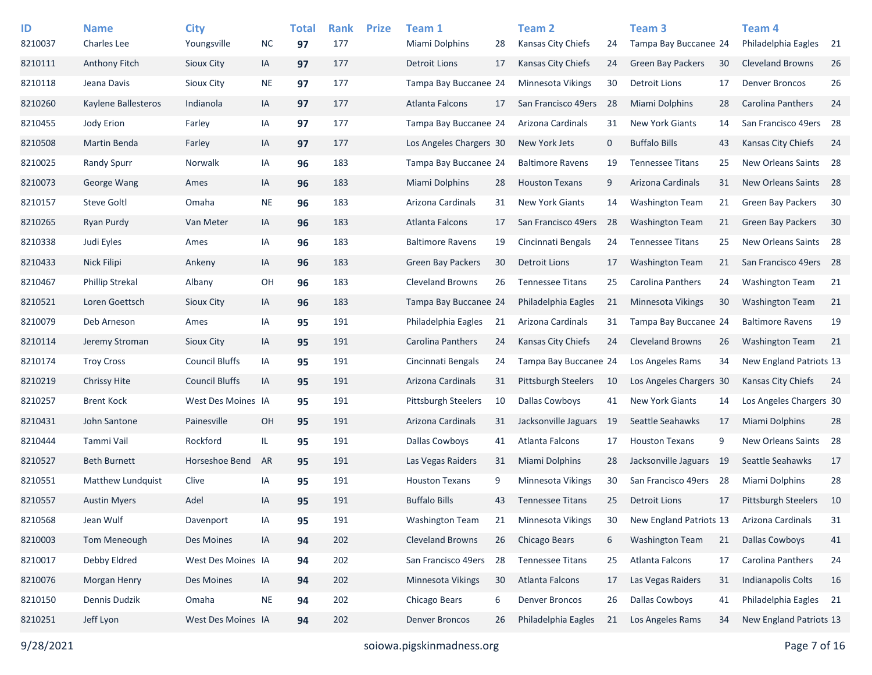| ID<br>8210037 | <b>Name</b><br><b>Charles Lee</b> | <b>City</b><br>Youngsville | <b>NC</b> | <b>Total</b><br>97 | <b>Rank</b><br>177 | <b>Prize</b> | Team 1<br>Miami Dolphins   | 28 | <b>Team 2</b><br><b>Kansas City Chiefs</b> | 24   | Team <sub>3</sub><br>Tampa Bay Buccanee 24 |     | Team <sub>4</sub><br>Philadelphia Eagles | - 21 |
|---------------|-----------------------------------|----------------------------|-----------|--------------------|--------------------|--------------|----------------------------|----|--------------------------------------------|------|--------------------------------------------|-----|------------------------------------------|------|
| 8210111       | <b>Anthony Fitch</b>              | Sioux City                 | IA        | 97                 | 177                |              | <b>Detroit Lions</b>       | 17 | <b>Kansas City Chiefs</b>                  | 24   | <b>Green Bay Packers</b>                   | 30  | <b>Cleveland Browns</b>                  | 26   |
| 8210118       | Jeana Davis                       | Sioux City                 | <b>NE</b> | 97                 | 177                |              | Tampa Bay Buccanee 24      |    | <b>Minnesota Vikings</b>                   | 30   | Detroit Lions                              | 17  | <b>Denver Broncos</b>                    | 26   |
| 8210260       | Kaylene Ballesteros               | Indianola                  | IA        | 97                 | 177                |              | Atlanta Falcons            | 17 | San Francisco 49ers                        | 28   | <b>Miami Dolphins</b>                      | 28  | Carolina Panthers                        | 24   |
| 8210455       | Jody Erion                        | Farley                     | IA        | 97                 | 177                |              | Tampa Bay Buccanee 24      |    | Arizona Cardinals                          | 31   | <b>New York Giants</b>                     | 14  | San Francisco 49ers 28                   |      |
| 8210508       | Martin Benda                      | Farley                     | IA        | 97                 | 177                |              | Los Angeles Chargers 30    |    | New York Jets                              | 0    | <b>Buffalo Bills</b>                       | 43  | <b>Kansas City Chiefs</b>                | 24   |
| 8210025       | <b>Randy Spurr</b>                | Norwalk                    | IA        | 96                 | 183                |              | Tampa Bay Buccanee 24      |    | <b>Baltimore Ravens</b>                    | 19   | <b>Tennessee Titans</b>                    | 25  | New Orleans Saints 28                    |      |
| 8210073       | George Wang                       | Ames                       | IA        | 96                 | 183                |              | <b>Miami Dolphins</b>      | 28 | <b>Houston Texans</b>                      | 9    | Arizona Cardinals                          | 31  | New Orleans Saints                       | 28   |
| 8210157       | <b>Steve Goltl</b>                | Omaha                      | <b>NE</b> | 96                 | 183                |              | Arizona Cardinals          | 31 | <b>New York Giants</b>                     | 14   | <b>Washington Team</b>                     | 21  | <b>Green Bay Packers</b>                 | 30   |
| 8210265       | <b>Ryan Purdy</b>                 | Van Meter                  | IA        | 96                 | 183                |              | Atlanta Falcons            | 17 | San Francisco 49ers                        | 28   | <b>Washington Team</b>                     | 21  | <b>Green Bay Packers</b>                 | 30   |
| 8210338       | Judi Eyles                        | Ames                       | IA        | 96                 | 183                |              | <b>Baltimore Ravens</b>    | 19 | Cincinnati Bengals                         | 24   | <b>Tennessee Titans</b>                    | 25  | New Orleans Saints 28                    |      |
| 8210433       | <b>Nick Filipi</b>                | Ankeny                     | IA        | 96                 | 183                |              | Green Bay Packers          | 30 | <b>Detroit Lions</b>                       | 17   | <b>Washington Team</b>                     | 21  | San Francisco 49ers 28                   |      |
| 8210467       | <b>Phillip Strekal</b>            | Albany                     | OH        | 96                 | 183                |              | <b>Cleveland Browns</b>    | 26 | <b>Tennessee Titans</b>                    | 25   | <b>Carolina Panthers</b>                   | 24  | <b>Washington Team</b>                   | 21   |
| 8210521       | Loren Goettsch                    | Sioux City                 | IA        | 96                 | 183                |              | Tampa Bay Buccanee 24      |    | Philadelphia Eagles                        | 21   | <b>Minnesota Vikings</b>                   | 30  | <b>Washington Team</b>                   | 21   |
| 8210079       | Deb Arneson                       | Ames                       | IA        | 95                 | 191                |              | Philadelphia Eagles        | 21 | Arizona Cardinals                          | 31   | Tampa Bay Buccanee 24                      |     | <b>Baltimore Ravens</b>                  | 19   |
| 8210114       | Jeremy Stroman                    | Sioux City                 | IA        | 95                 | 191                |              | Carolina Panthers          | 24 | <b>Kansas City Chiefs</b>                  | 24   | <b>Cleveland Browns</b>                    | 26  | <b>Washington Team</b>                   | 21   |
| 8210174       | <b>Troy Cross</b>                 | <b>Council Bluffs</b>      | IA        | 95                 | 191                |              | Cincinnati Bengals         | 24 | Tampa Bay Buccanee 24                      |      | Los Angeles Rams                           | 34  | New England Patriots 13                  |      |
| 8210219       | <b>Chrissy Hite</b>               | <b>Council Bluffs</b>      | IA        | 95                 | 191                |              | Arizona Cardinals          | 31 | <b>Pittsburgh Steelers</b>                 | 10   | Los Angeles Chargers 30                    |     | <b>Kansas City Chiefs</b>                | 24   |
| 8210257       | <b>Brent Kock</b>                 | West Des Moines IA         |           | 95                 | 191                |              | <b>Pittsburgh Steelers</b> | 10 | <b>Dallas Cowboys</b>                      | 41   | <b>New York Giants</b>                     | 14  | Los Angeles Chargers 30                  |      |
| 8210431       | John Santone                      | Painesville                | OH        | 95                 | 191                |              | Arizona Cardinals          | 31 | Jacksonville Jaguars                       | - 19 | Seattle Seahawks                           | 17  | <b>Miami Dolphins</b>                    | 28   |
| 8210444       | Tammi Vail                        | Rockford                   | IL.       | 95                 | 191                |              | Dallas Cowboys             | 41 | Atlanta Falcons                            | 17   | <b>Houston Texans</b>                      | 9   | New Orleans Saints                       | 28   |
| 8210527       | <b>Beth Burnett</b>               | Horseshoe Bend             | AR        | 95                 | 191                |              | Las Vegas Raiders          | 31 | <b>Miami Dolphins</b>                      | 28   | Jacksonville Jaguars                       | -19 | Seattle Seahawks                         | 17   |
| 8210551       | Matthew Lundquist                 | Clive                      | IA        | 95                 | 191                |              | <b>Houston Texans</b>      | 9  | Minnesota Vikings                          | 30   | San Francisco 49ers                        | 28  | Miami Dolphins                           | 28   |
| 8210557       | <b>Austin Myers</b>               | Adel                       | IA        | 95                 | 191                |              | <b>Buffalo Bills</b>       | 43 | <b>Tennessee Titans</b>                    | 25   | <b>Detroit Lions</b>                       | 17  | <b>Pittsburgh Steelers</b>               | 10   |
| 8210568       | Jean Wulf                         | Davenport                  | IA        | 95                 | 191                |              | <b>Washington Team</b>     | 21 | Minnesota Vikings                          | 30   | New England Patriots 13                    |     | Arizona Cardinals                        | 31   |
| 8210003       | Tom Meneough                      | Des Moines                 | IA        | 94                 | 202                |              | <b>Cleveland Browns</b>    | 26 | Chicago Bears                              | 6    | <b>Washington Team</b>                     | 21  | <b>Dallas Cowboys</b>                    | 41   |
| 8210017       | Debby Eldred                      | West Des Moines IA         |           | 94                 | 202                |              | San Francisco 49ers        | 28 | <b>Tennessee Titans</b>                    | 25   | Atlanta Falcons                            | 17  | Carolina Panthers                        | 24   |
| 8210076       | Morgan Henry                      | Des Moines                 | IA        | 94                 | 202                |              | Minnesota Vikings          | 30 | Atlanta Falcons                            | 17   | Las Vegas Raiders                          | 31  | Indianapolis Colts                       | 16   |
| 8210150       | Dennis Dudzik                     | Omaha                      | $\sf NE$  | 94                 | 202                |              | Chicago Bears              | 6  | <b>Denver Broncos</b>                      | 26   | Dallas Cowboys                             | 41  | Philadelphia Eagles 21                   |      |
| 8210251       | Jeff Lyon                         | West Des Moines IA         |           | 94                 | 202                |              | <b>Denver Broncos</b>      | 26 | Philadelphia Eagles                        | 21   | Los Angeles Rams                           | 34  | New England Patriots 13                  |      |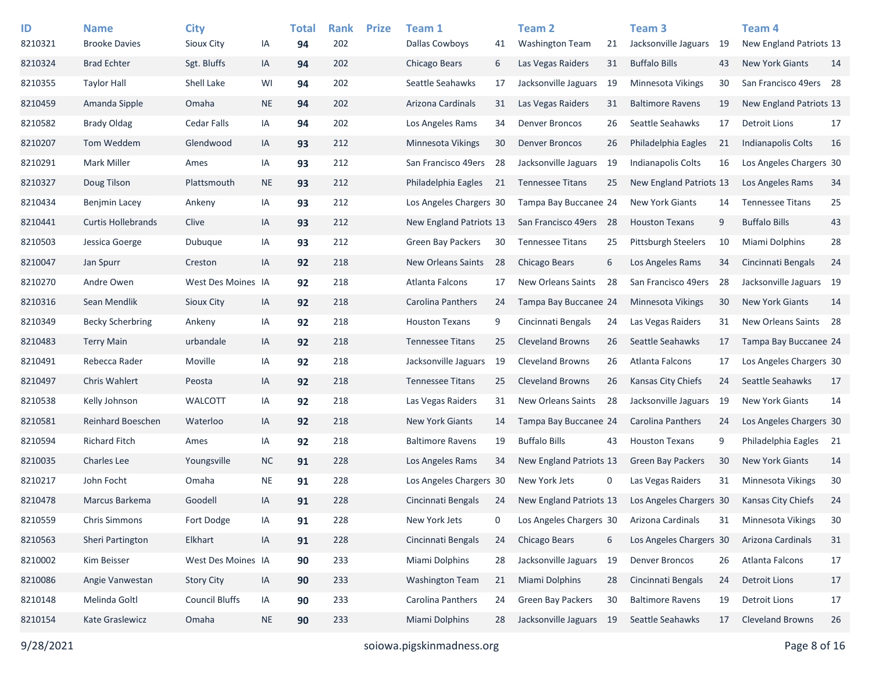| ID      | <b>Name</b>               | <b>City</b>           |           | <b>Total</b> | <b>Rank</b> | <b>Prize</b> | Team 1                    |     | <b>Team 2</b>             |    | Team <sub>3</sub>          |    | <b>Team 4</b>             |    |
|---------|---------------------------|-----------------------|-----------|--------------|-------------|--------------|---------------------------|-----|---------------------------|----|----------------------------|----|---------------------------|----|
| 8210321 | <b>Brooke Davies</b>      | Sioux City            | IA        | 94           | 202         |              | <b>Dallas Cowboys</b>     | 41  | <b>Washington Team</b>    | 21 | Jacksonville Jaguars       | 19 | New England Patriots 13   |    |
| 8210324 | <b>Brad Echter</b>        | Sgt. Bluffs           | IA        | 94           | 202         |              | Chicago Bears             | 6   | Las Vegas Raiders         | 31 | <b>Buffalo Bills</b>       | 43 | <b>New York Giants</b>    | 14 |
| 8210355 | <b>Taylor Hall</b>        | Shell Lake            | WI        | 94           | 202         |              | Seattle Seahawks          | 17  | Jacksonville Jaguars      | 19 | Minnesota Vikings          | 30 | San Francisco 49ers 28    |    |
| 8210459 | Amanda Sipple             | Omaha                 | <b>NE</b> | 94           | 202         |              | Arizona Cardinals         | 31  | Las Vegas Raiders         | 31 | <b>Baltimore Ravens</b>    | 19 | New England Patriots 13   |    |
| 8210582 | <b>Brady Oldag</b>        | <b>Cedar Falls</b>    | IA        | 94           | 202         |              | Los Angeles Rams          | 34  | <b>Denver Broncos</b>     | 26 | Seattle Seahawks           | 17 | <b>Detroit Lions</b>      | 17 |
| 8210207 | Tom Weddem                | Glendwood             | IA        | 93           | 212         |              | Minnesota Vikings         | 30  | <b>Denver Broncos</b>     | 26 | Philadelphia Eagles        | 21 | <b>Indianapolis Colts</b> | 16 |
| 8210291 | <b>Mark Miller</b>        | Ames                  | IA        | 93           | 212         |              | San Francisco 49ers       | 28  | Jacksonville Jaguars      | 19 | Indianapolis Colts         | 16 | Los Angeles Chargers 30   |    |
| 8210327 | Doug Tilson               | Plattsmouth           | <b>NE</b> | 93           | 212         |              | Philadelphia Eagles       | 21  | <b>Tennessee Titans</b>   | 25 | New England Patriots 13    |    | Los Angeles Rams          | 34 |
| 8210434 | <b>Benjmin Lacey</b>      | Ankeny                | IA        | 93           | 212         |              | Los Angeles Chargers 30   |     | Tampa Bay Buccanee 24     |    | <b>New York Giants</b>     | 14 | <b>Tennessee Titans</b>   | 25 |
| 8210441 | <b>Curtis Hollebrands</b> | Clive                 | IA        | 93           | 212         |              | New England Patriots 13   |     | San Francisco 49ers       | 28 | <b>Houston Texans</b>      | 9  | <b>Buffalo Bills</b>      | 43 |
| 8210503 | Jessica Goerge            | Dubuque               | IA        | 93           | 212         |              | <b>Green Bay Packers</b>  | 30  | <b>Tennessee Titans</b>   | 25 | <b>Pittsburgh Steelers</b> | 10 | Miami Dolphins            | 28 |
| 8210047 | Jan Spurr                 | Creston               | IA        | 92           | 218         |              | <b>New Orleans Saints</b> | 28  | Chicago Bears             | 6  | Los Angeles Rams           | 34 | Cincinnati Bengals        | 24 |
| 8210270 | Andre Owen                | West Des Moines IA    |           | 92           | 218         |              | Atlanta Falcons           | 17  | <b>New Orleans Saints</b> | 28 | San Francisco 49ers        | 28 | Jacksonville Jaguars 19   |    |
| 8210316 | Sean Mendlik              | Sioux City            | IA        | 92           | 218         |              | Carolina Panthers         | 24  | Tampa Bay Buccanee 24     |    | Minnesota Vikings          | 30 | <b>New York Giants</b>    | 14 |
| 8210349 | <b>Becky Scherbring</b>   | Ankeny                | IA        | 92           | 218         |              | <b>Houston Texans</b>     | 9   | Cincinnati Bengals        | 24 | Las Vegas Raiders          | 31 | New Orleans Saints 28     |    |
| 8210483 | <b>Terry Main</b>         | urbandale             | IA        | 92           | 218         |              | <b>Tennessee Titans</b>   | 25  | <b>Cleveland Browns</b>   | 26 | Seattle Seahawks           | 17 | Tampa Bay Buccanee 24     |    |
| 8210491 | Rebecca Rader             | Moville               | IA        | 92           | 218         |              | Jacksonville Jaguars      | 19  | <b>Cleveland Browns</b>   | 26 | Atlanta Falcons            | 17 | Los Angeles Chargers 30   |    |
| 8210497 | <b>Chris Wahlert</b>      | Peosta                | IA        | 92           | 218         |              | <b>Tennessee Titans</b>   | 25  | <b>Cleveland Browns</b>   | 26 | Kansas City Chiefs         | 24 | Seattle Seahawks          | 17 |
| 8210538 | Kelly Johnson             | <b>WALCOTT</b>        | IA        | 92           | 218         |              | Las Vegas Raiders         | 31  | <b>New Orleans Saints</b> | 28 | Jacksonville Jaguars       | 19 | <b>New York Giants</b>    | 14 |
| 8210581 | <b>Reinhard Boeschen</b>  | Waterloo              | IA        | 92           | 218         |              | <b>New York Giants</b>    | 14  | Tampa Bay Buccanee 24     |    | <b>Carolina Panthers</b>   | 24 | Los Angeles Chargers 30   |    |
| 8210594 | <b>Richard Fitch</b>      | Ames                  | IA        | 92           | 218         |              | <b>Baltimore Ravens</b>   | 19  | <b>Buffalo Bills</b>      | 43 | <b>Houston Texans</b>      | 9  | Philadelphia Eagles       | 21 |
| 8210035 | <b>Charles Lee</b>        | Youngsville           | <b>NC</b> | 91           | 228         |              | Los Angeles Rams          | 34  | New England Patriots 13   |    | <b>Green Bay Packers</b>   | 30 | <b>New York Giants</b>    | 14 |
| 8210217 | John Focht                | Omaha                 | <b>NE</b> | 91           | 228         |              | Los Angeles Chargers 30   |     | New York Jets             | 0  | Las Vegas Raiders          | 31 | Minnesota Vikings         | 30 |
| 8210478 | Marcus Barkema            | Goodell               | IA        | 91           | 228         |              | Cincinnati Bengals        | -24 | New England Patriots 13   |    | Los Angeles Chargers 30    |    | <b>Kansas City Chiefs</b> | 24 |
| 8210559 | <b>Chris Simmons</b>      | Fort Dodge            | IA        | 91           | 228         |              | New York Jets             | 0   | Los Angeles Chargers 30   |    | Arizona Cardinals          | 31 | Minnesota Vikings         | 30 |
| 8210563 | Sheri Partington          | Elkhart               | IA        | 91           | 228         |              | Cincinnati Bengals        | 24  | Chicago Bears             | 6  | Los Angeles Chargers 30    |    | Arizona Cardinals         | 31 |
| 8210002 | Kim Beisser               | West Des Moines IA    |           | 90           | 233         |              | Miami Dolphins            | 28  | Jacksonville Jaguars 19   |    | <b>Denver Broncos</b>      | 26 | Atlanta Falcons           | 17 |
| 8210086 | Angie Vanwestan           | <b>Story City</b>     | IA        | 90           | 233         |              | <b>Washington Team</b>    | 21  | <b>Miami Dolphins</b>     | 28 | Cincinnati Bengals         | 24 | <b>Detroit Lions</b>      | 17 |
| 8210148 | Melinda Goltl             | <b>Council Bluffs</b> | IA        | 90           | 233         |              | <b>Carolina Panthers</b>  | 24  | <b>Green Bay Packers</b>  | 30 | <b>Baltimore Ravens</b>    | 19 | <b>Detroit Lions</b>      | 17 |
| 8210154 | Kate Graslewicz           | Omaha                 | <b>NE</b> | 90           | 233         |              | <b>Miami Dolphins</b>     | 28  | Jacksonville Jaguars 19   |    | Seattle Seahawks           | 17 | <b>Cleveland Browns</b>   | 26 |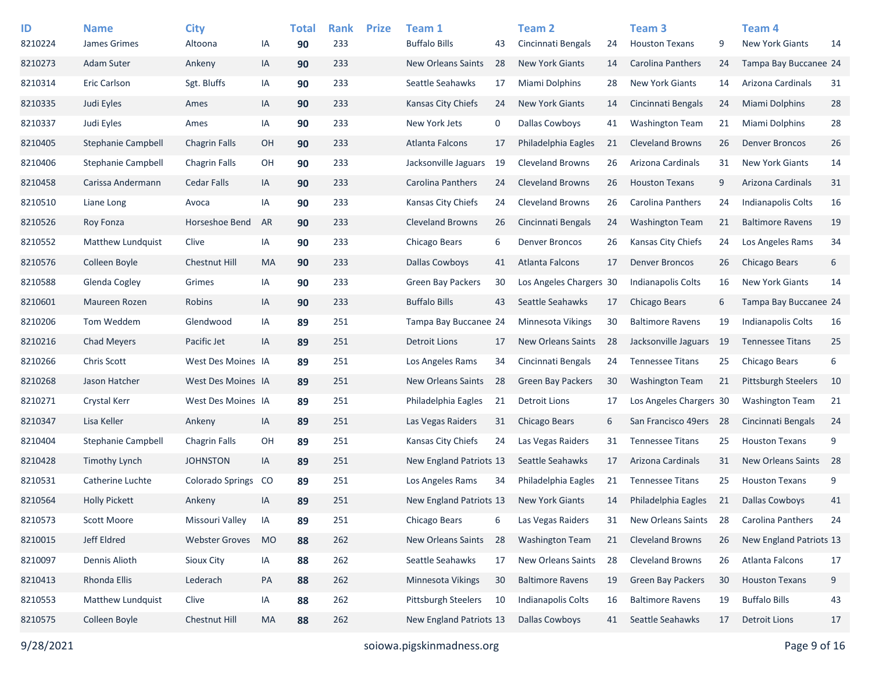| ID      | <b>Name</b>               | <b>City</b>             |           | <b>Total</b> | <b>Rank</b> | <b>Prize</b> | Team 1                    |    | Team 2                    |    | Team <sub>3</sub>         |     | Team 4                     |      |
|---------|---------------------------|-------------------------|-----------|--------------|-------------|--------------|---------------------------|----|---------------------------|----|---------------------------|-----|----------------------------|------|
| 8210224 | James Grimes              | Altoona                 | ΙA        | 90           | 233         |              | <b>Buffalo Bills</b>      | 43 | Cincinnati Bengals        | 24 | <b>Houston Texans</b>     | 9   | <b>New York Giants</b>     | 14   |
| 8210273 | Adam Suter                | Ankeny                  | IA        | 90           | 233         |              | <b>New Orleans Saints</b> | 28 | <b>New York Giants</b>    | 14 | Carolina Panthers         | 24  | Tampa Bay Buccanee 24      |      |
| 8210314 | Eric Carlson              | Sgt. Bluffs             | IA        | 90           | 233         |              | Seattle Seahawks          | 17 | Miami Dolphins            | 28 | <b>New York Giants</b>    | 14  | Arizona Cardinals          | 31   |
| 8210335 | Judi Eyles                | Ames                    | IA        | 90           | 233         |              | Kansas City Chiefs        | 24 | <b>New York Giants</b>    | 14 | Cincinnati Bengals        | 24  | Miami Dolphins             | 28   |
| 8210337 | Judi Eyles                | Ames                    | IA        | 90           | 233         |              | New York Jets             | 0  | Dallas Cowboys            | 41 | <b>Washington Team</b>    | 21  | Miami Dolphins             | 28   |
| 8210405 | Stephanie Campbell        | <b>Chagrin Falls</b>    | OH        | 90           | 233         |              | <b>Atlanta Falcons</b>    | 17 | Philadelphia Eagles       | 21 | <b>Cleveland Browns</b>   | 26  | <b>Denver Broncos</b>      | 26   |
| 8210406 | <b>Stephanie Campbell</b> | <b>Chagrin Falls</b>    | OH        | 90           | 233         |              | Jacksonville Jaguars      | 19 | <b>Cleveland Browns</b>   | 26 | Arizona Cardinals         | 31  | <b>New York Giants</b>     | 14   |
| 8210458 | Carissa Andermann         | <b>Cedar Falls</b>      | IA        | 90           | 233         |              | Carolina Panthers         | 24 | <b>Cleveland Browns</b>   | 26 | <b>Houston Texans</b>     | 9   | Arizona Cardinals          | 31   |
| 8210510 | Liane Long                | Avoca                   | IA        | 90           | 233         |              | Kansas City Chiefs        | 24 | <b>Cleveland Browns</b>   | 26 | Carolina Panthers         | 24  | <b>Indianapolis Colts</b>  | 16   |
| 8210526 | Roy Fonza                 | Horseshoe Bend          | AR        | 90           | 233         |              | <b>Cleveland Browns</b>   | 26 | Cincinnati Bengals        | 24 | <b>Washington Team</b>    | 21  | <b>Baltimore Ravens</b>    | 19   |
| 8210552 | Matthew Lundquist         | Clive                   | IA        | 90           | 233         |              | Chicago Bears             | 6  | <b>Denver Broncos</b>     | 26 | Kansas City Chiefs        | 24  | Los Angeles Rams           | 34   |
| 8210576 | Colleen Boyle             | Chestnut Hill           | MA        | 90           | 233         |              | Dallas Cowboys            | 41 | Atlanta Falcons           | 17 | <b>Denver Broncos</b>     | 26  | Chicago Bears              | 6    |
| 8210588 | Glenda Cogley             | Grimes                  | IA        | 90           | 233         |              | <b>Green Bay Packers</b>  | 30 | Los Angeles Chargers 30   |    | Indianapolis Colts        | 16  | <b>New York Giants</b>     | 14   |
| 8210601 | Maureen Rozen             | Robins                  | IA        | 90           | 233         |              | <b>Buffalo Bills</b>      | 43 | Seattle Seahawks          | 17 | Chicago Bears             | 6   | Tampa Bay Buccanee 24      |      |
| 8210206 | Tom Weddem                | Glendwood               | IA        | 89           | 251         |              | Tampa Bay Buccanee 24     |    | Minnesota Vikings         | 30 | <b>Baltimore Ravens</b>   | 19  | Indianapolis Colts         | 16   |
| 8210216 | <b>Chad Meyers</b>        | Pacific Jet             | IA        | 89           | 251         |              | <b>Detroit Lions</b>      | 17 | <b>New Orleans Saints</b> | 28 | Jacksonville Jaguars      | -19 | <b>Tennessee Titans</b>    | 25   |
| 8210266 | Chris Scott               | West Des Moines IA      |           | 89           | 251         |              | Los Angeles Rams          | 34 | Cincinnati Bengals        | 24 | <b>Tennessee Titans</b>   | 25  | Chicago Bears              | 6    |
| 8210268 | Jason Hatcher             | West Des Moines IA      |           | 89           | 251         |              | New Orleans Saints        | 28 | <b>Green Bay Packers</b>  | 30 | <b>Washington Team</b>    | 21  | <b>Pittsburgh Steelers</b> | 10   |
| 8210271 | Crystal Kerr              | West Des Moines IA      |           | 89           | 251         |              | Philadelphia Eagles       | 21 | Detroit Lions             | 17 | Los Angeles Chargers 30   |     | <b>Washington Team</b>     | 21   |
| 8210347 | Lisa Keller               | Ankeny                  | IA        | 89           | 251         |              | Las Vegas Raiders         | 31 | Chicago Bears             | 6  | San Francisco 49ers       | -28 | Cincinnati Bengals         | 24   |
| 8210404 | <b>Stephanie Campbell</b> | <b>Chagrin Falls</b>    | OH        | 89           | 251         |              | Kansas City Chiefs        | 24 | Las Vegas Raiders         | 31 | <b>Tennessee Titans</b>   | 25  | <b>Houston Texans</b>      | 9    |
| 8210428 | <b>Timothy Lynch</b>      | <b>JOHNSTON</b>         | IA        | 89           | 251         |              | New England Patriots 13   |    | Seattle Seahawks          | 17 | Arizona Cardinals         | 31  | New Orleans Saints         | - 28 |
| 8210531 | Catherine Luchte          | <b>Colorado Springs</b> | CO        | 89           | 251         |              | Los Angeles Rams          | 34 | Philadelphia Eagles       | 21 | <b>Tennessee Titans</b>   | 25  | <b>Houston Texans</b>      | 9    |
| 8210564 | <b>Holly Pickett</b>      | Ankeny                  | IA        | 89           | 251         |              | New England Patriots 13   |    | <b>New York Giants</b>    | 14 | Philadelphia Eagles       | 21  | <b>Dallas Cowboys</b>      | 41   |
| 8210573 | <b>Scott Moore</b>        | Missouri Valley         | IA        | 89           | 251         |              | Chicago Bears             | 6  | Las Vegas Raiders         | 31 | <b>New Orleans Saints</b> | 28  | Carolina Panthers          | 24   |
| 8210015 | Jeff Eldred               | <b>Webster Groves</b>   | <b>MO</b> | 88           | 262         |              | New Orleans Saints        | 28 | <b>Washington Team</b>    | 21 | <b>Cleveland Browns</b>   | 26  | New England Patriots 13    |      |
| 8210097 | Dennis Alioth             | Sioux City              | IA        | 88           | 262         |              | Seattle Seahawks          | 17 | New Orleans Saints        | 28 | <b>Cleveland Browns</b>   | 26  | Atlanta Falcons            | 17   |
| 8210413 | Rhonda Ellis              | Lederach                | PA        | 88           | 262         |              | Minnesota Vikings         | 30 | <b>Baltimore Ravens</b>   | 19 | Green Bay Packers         | 30  | <b>Houston Texans</b>      | 9    |
| 8210553 | Matthew Lundquist         | Clive                   | IA        | 88           | 262         |              | Pittsburgh Steelers       | 10 | <b>Indianapolis Colts</b> | 16 | <b>Baltimore Ravens</b>   | 19  | <b>Buffalo Bills</b>       | 43   |
| 8210575 | Colleen Boyle             | Chestnut Hill           | MA        | 88           | 262         |              | New England Patriots 13   |    | <b>Dallas Cowboys</b>     | 41 | Seattle Seahawks          | 17  | <b>Detroit Lions</b>       | 17   |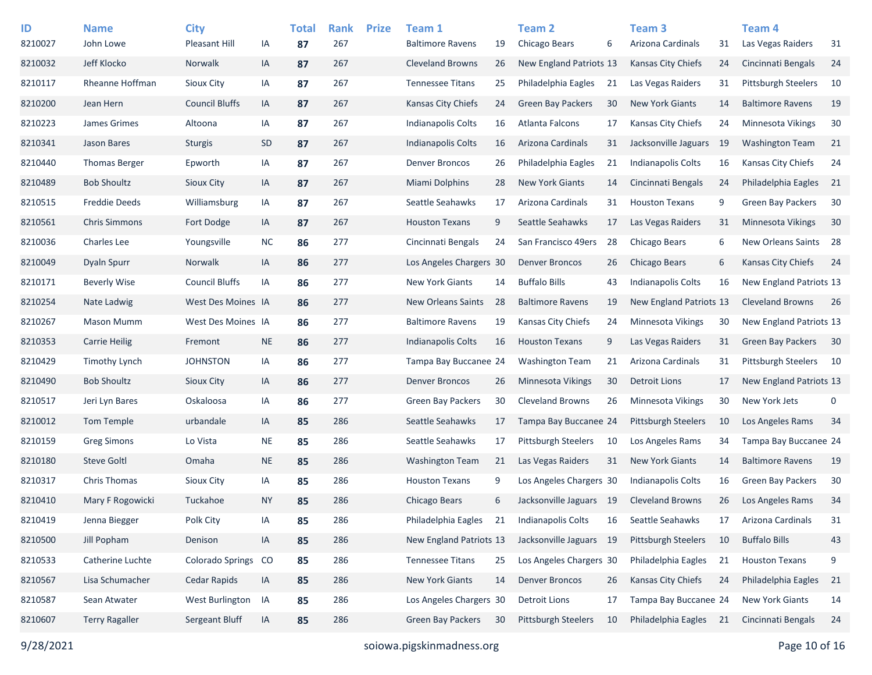| ID      | <b>Name</b>            | <b>City</b>             |           | <b>Total</b> | <b>Rank</b> | <b>Prize</b> | Team 1                    |    | <b>Team 2</b>              |    | Team <sub>3</sub>          |     | <b>Team 4</b>              |      |
|---------|------------------------|-------------------------|-----------|--------------|-------------|--------------|---------------------------|----|----------------------------|----|----------------------------|-----|----------------------------|------|
| 8210027 | John Lowe              | Pleasant Hill           | IA        | 87           | 267         |              | <b>Baltimore Ravens</b>   | 19 | Chicago Bears              | 6  | Arizona Cardinals          | 31  | Las Vegas Raiders          | 31   |
| 8210032 | Jeff Klocko            | Norwalk                 | IA        | 87           | 267         |              | <b>Cleveland Browns</b>   | 26 | New England Patriots 13    |    | Kansas City Chiefs         | 24  | Cincinnati Bengals         | 24   |
| 8210117 | <b>Rheanne Hoffman</b> | <b>Sioux City</b>       | IA        | 87           | 267         |              | <b>Tennessee Titans</b>   | 25 | Philadelphia Eagles        | 21 | Las Vegas Raiders          | 31  | Pittsburgh Steelers        | 10   |
| 8210200 | Jean Hern              | <b>Council Bluffs</b>   | IA        | 87           | 267         |              | Kansas City Chiefs        | 24 | <b>Green Bay Packers</b>   | 30 | <b>New York Giants</b>     | 14  | <b>Baltimore Ravens</b>    | 19   |
| 8210223 | James Grimes           | Altoona                 | IA        | 87           | 267         |              | Indianapolis Colts        | 16 | Atlanta Falcons            | 17 | Kansas City Chiefs         | 24  | <b>Minnesota Vikings</b>   | 30   |
| 8210341 | Jason Bares            | <b>Sturgis</b>          | <b>SD</b> | 87           | 267         |              | Indianapolis Colts        | 16 | Arizona Cardinals          | 31 | Jacksonville Jaguars       | -19 | <b>Washington Team</b>     | 21   |
| 8210440 | <b>Thomas Berger</b>   | Epworth                 | IA        | 87           | 267         |              | Denver Broncos            | 26 | Philadelphia Eagles        | 21 | Indianapolis Colts         | 16  | Kansas City Chiefs         | 24   |
| 8210489 | <b>Bob Shoultz</b>     | Sioux City              | IA        | 87           | 267         |              | <b>Miami Dolphins</b>     | 28 | <b>New York Giants</b>     | 14 | Cincinnati Bengals         | 24  | Philadelphia Eagles        | - 21 |
| 8210515 | <b>Freddie Deeds</b>   | Williamsburg            | IA        | 87           | 267         |              | Seattle Seahawks          | 17 | Arizona Cardinals          | 31 | <b>Houston Texans</b>      | 9   | <b>Green Bay Packers</b>   | 30   |
| 8210561 | <b>Chris Simmons</b>   | Fort Dodge              | IA        | 87           | 267         |              | <b>Houston Texans</b>     | 9  | Seattle Seahawks           | 17 | Las Vegas Raiders          | 31  | <b>Minnesota Vikings</b>   | 30   |
| 8210036 | <b>Charles Lee</b>     | Youngsville             | <b>NC</b> | 86           | 277         |              | Cincinnati Bengals        | 24 | San Francisco 49ers        | 28 | Chicago Bears              | 6   | New Orleans Saints 28      |      |
| 8210049 | Dyaln Spurr            | Norwalk                 | IA        | 86           | 277         |              | Los Angeles Chargers 30   |    | <b>Denver Broncos</b>      | 26 | Chicago Bears              | 6   | Kansas City Chiefs         | 24   |
| 8210171 | <b>Beverly Wise</b>    | <b>Council Bluffs</b>   | IA        | 86           | 277         |              | New York Giants           | 14 | <b>Buffalo Bills</b>       | 43 | <b>Indianapolis Colts</b>  | 16  | New England Patriots 13    |      |
| 8210254 | Nate Ladwig            | West Des Moines IA      |           | 86           | 277         |              | <b>New Orleans Saints</b> | 28 | <b>Baltimore Ravens</b>    | 19 | New England Patriots 13    |     | <b>Cleveland Browns</b>    | 26   |
| 8210267 | Mason Mumm             | West Des Moines IA      |           | 86           | 277         |              | <b>Baltimore Ravens</b>   | 19 | Kansas City Chiefs         | 24 | <b>Minnesota Vikings</b>   | 30  | New England Patriots 13    |      |
| 8210353 | <b>Carrie Heilig</b>   | Fremont                 | <b>NE</b> | 86           | 277         |              | <b>Indianapolis Colts</b> | 16 | <b>Houston Texans</b>      | 9  | Las Vegas Raiders          | 31  | <b>Green Bay Packers</b>   | 30   |
| 8210429 | <b>Timothy Lynch</b>   | <b>JOHNSTON</b>         | IA        | 86           | 277         |              | Tampa Bay Buccanee 24     |    | <b>Washington Team</b>     | 21 | Arizona Cardinals          | 31  | <b>Pittsburgh Steelers</b> | - 10 |
| 8210490 | <b>Bob Shoultz</b>     | Sioux City              | IA        | 86           | 277         |              | <b>Denver Broncos</b>     | 26 | <b>Minnesota Vikings</b>   | 30 | <b>Detroit Lions</b>       | 17  | New England Patriots 13    |      |
| 8210517 | Jeri Lyn Bares         | Oskaloosa               | IA        | 86           | 277         |              | <b>Green Bay Packers</b>  | 30 | <b>Cleveland Browns</b>    | 26 | Minnesota Vikings          | 30  | New York Jets              | 0    |
| 8210012 | Tom Temple             | urbandale               | IA        | 85           | 286         |              | Seattle Seahawks          | 17 | Tampa Bay Buccanee 24      |    | <b>Pittsburgh Steelers</b> | 10  | Los Angeles Rams           | 34   |
| 8210159 | <b>Greg Simons</b>     | Lo Vista                | <b>NE</b> | 85           | 286         |              | Seattle Seahawks          | 17 | <b>Pittsburgh Steelers</b> | 10 | Los Angeles Rams           | 34  | Tampa Bay Buccanee 24      |      |
| 8210180 | <b>Steve Goltl</b>     | Omaha                   | <b>NE</b> | 85           | 286         |              | <b>Washington Team</b>    | 21 | Las Vegas Raiders          | 31 | <b>New York Giants</b>     | 14  | <b>Baltimore Ravens</b>    | 19   |
| 8210317 | Chris Thomas           | Sioux City              | IA        | 85           | 286         |              | <b>Houston Texans</b>     | 9  | Los Angeles Chargers 30    |    | Indianapolis Colts         | 16  | <b>Green Bay Packers</b>   | 30   |
| 8210410 | Mary F Rogowicki       | Tuckahoe                | <b>NY</b> | 85           | 286         |              | Chicago Bears             | 6  | Jacksonville Jaguars 19    |    | <b>Cleveland Browns</b>    | 26  | Los Angeles Rams           | 34   |
| 8210419 | Jenna Biegger          | Polk City               | IA        | 85           | 286         |              | Philadelphia Eagles       | 21 | Indianapolis Colts         | 16 | Seattle Seahawks           | 17  | Arizona Cardinals          | 31   |
| 8210500 | Jill Popham            | Denison                 | IA        | 85           | 286         |              | New England Patriots 13   |    | Jacksonville Jaguars 19    |    | Pittsburgh Steelers        | 10  | <b>Buffalo Bills</b>       | 43   |
| 8210533 | Catherine Luchte       | <b>Colorado Springs</b> | CO        | 85           | 286         |              | <b>Tennessee Titans</b>   | 25 | Los Angeles Chargers 30    |    | Philadelphia Eagles        | 21  | <b>Houston Texans</b>      | 9    |
| 8210567 | Lisa Schumacher        | Cedar Rapids            | IA        | 85           | 286         |              | New York Giants           | 14 | <b>Denver Broncos</b>      | 26 | Kansas City Chiefs         | 24  | Philadelphia Eagles        | 21   |
| 8210587 | Sean Atwater           | West Burlington         | IA        | 85           | 286         |              | Los Angeles Chargers 30   |    | <b>Detroit Lions</b>       | 17 | Tampa Bay Buccanee 24      |     | New York Giants            | 14   |
| 8210607 | <b>Terry Ragaller</b>  | Sergeant Bluff          | IA        | 85           | 286         |              | Green Bay Packers         | 30 | Pittsburgh Steelers        | 10 | Philadelphia Eagles        | 21  | Cincinnati Bengals         | 24   |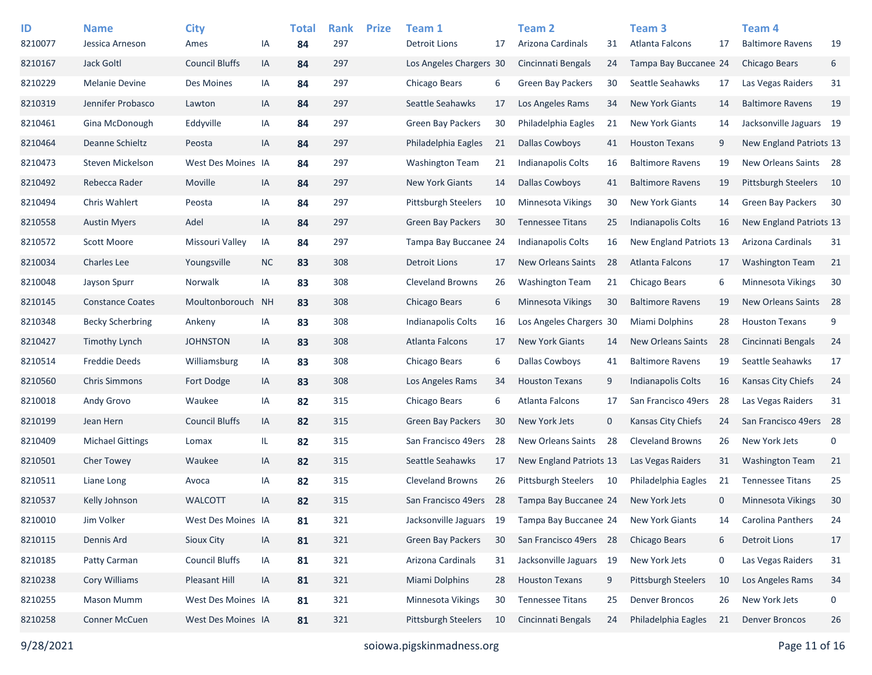| ID<br>8210077 | <b>Name</b><br>Jessica Arneson | <b>City</b><br>Ames   | ΙA        | <b>Total</b><br>84 | <b>Rank</b><br>297 | <b>Prize</b> | Team 1<br>Detroit Lions   | 17  | <b>Team 2</b><br>Arizona Cardinals | 31          | Team <sub>3</sub><br>Atlanta Falcons | 17           | Team <sub>4</sub><br><b>Baltimore Ravens</b> | 19          |
|---------------|--------------------------------|-----------------------|-----------|--------------------|--------------------|--------------|---------------------------|-----|------------------------------------|-------------|--------------------------------------|--------------|----------------------------------------------|-------------|
| 8210167       | Jack Goltl                     | <b>Council Bluffs</b> | IA        | 84                 | 297                |              | Los Angeles Chargers 30   |     | Cincinnati Bengals                 | 24          | Tampa Bay Buccanee 24                |              | <b>Chicago Bears</b>                         | 6           |
| 8210229       | <b>Melanie Devine</b>          | Des Moines            | ΙA        | 84                 | 297                |              | Chicago Bears             | 6   | <b>Green Bay Packers</b>           | 30          | Seattle Seahawks                     | 17           | Las Vegas Raiders                            | 31          |
| 8210319       | Jennifer Probasco              | Lawton                | IA        | 84                 | 297                |              | Seattle Seahawks          | 17  | Los Angeles Rams                   | 34          | <b>New York Giants</b>               | 14           | <b>Baltimore Ravens</b>                      | 19          |
|               |                                |                       |           |                    |                    |              |                           |     |                                    |             |                                      |              |                                              |             |
| 8210461       | Gina McDonough                 | Eddyville             | ΙA        | 84                 | 297                |              | <b>Green Bay Packers</b>  | 30  | Philadelphia Eagles                | 21          | New York Giants                      | 14           | Jacksonville Jaguars 19                      |             |
| 8210464       | Deanne Schieltz                | Peosta                | IA        | 84                 | 297                |              | Philadelphia Eagles       | 21  | <b>Dallas Cowboys</b>              | 41          | <b>Houston Texans</b>                | 9            | New England Patriots 13                      |             |
| 8210473       | Steven Mickelson               | West Des Moines IA    |           | 84                 | 297                |              | <b>Washington Team</b>    | 21  | Indianapolis Colts                 | 16          | <b>Baltimore Ravens</b>              | 19           | New Orleans Saints 28                        |             |
| 8210492       | Rebecca Rader                  | Moville               | IA        | 84                 | 297                |              | <b>New York Giants</b>    | 14  | <b>Dallas Cowboys</b>              | 41          | <b>Baltimore Ravens</b>              | 19           | <b>Pittsburgh Steelers</b>                   | - 10        |
| 8210494       | Chris Wahlert                  | Peosta                | ΙA        | 84                 | 297                |              | Pittsburgh Steelers       | 10  | Minnesota Vikings                  | 30          | New York Giants                      | 14           | <b>Green Bay Packers</b>                     | 30          |
| 8210558       | <b>Austin Myers</b>            | Adel                  | IA        | 84                 | 297                |              | <b>Green Bay Packers</b>  | 30  | <b>Tennessee Titans</b>            | 25          | <b>Indianapolis Colts</b>            | 16           | New England Patriots 13                      |             |
| 8210572       | Scott Moore                    | Missouri Valley       | ΙA        | 84                 | 297                |              | Tampa Bay Buccanee 24     |     | <b>Indianapolis Colts</b>          | 16          | New England Patriots 13              |              | Arizona Cardinals                            | 31          |
| 8210034       | <b>Charles Lee</b>             | Youngsville           | <b>NC</b> | 83                 | 308                |              | <b>Detroit Lions</b>      | 17  | <b>New Orleans Saints</b>          | 28          | <b>Atlanta Falcons</b>               | 17           | <b>Washington Team</b>                       | 21          |
| 8210048       | Jayson Spurr                   | Norwalk               | IA        | 83                 | 308                |              | <b>Cleveland Browns</b>   | 26  | <b>Washington Team</b>             | 21          | Chicago Bears                        | 6            | Minnesota Vikings                            | 30          |
| 8210145       | <b>Constance Coates</b>        | Moultonborouch        | <b>NH</b> | 83                 | 308                |              | Chicago Bears             | 6   | Minnesota Vikings                  | 30          | <b>Baltimore Ravens</b>              | 19           | New Orleans Saints                           | 28          |
| 8210348       | <b>Becky Scherbring</b>        | Ankeny                | ΙA        | 83                 | 308                |              | <b>Indianapolis Colts</b> | 16  | Los Angeles Chargers 30            |             | <b>Miami Dolphins</b>                | 28           | <b>Houston Texans</b>                        | 9           |
| 8210427       | Timothy Lynch                  | <b>JOHNSTON</b>       | IA        | 83                 | 308                |              | Atlanta Falcons           | 17  | <b>New York Giants</b>             | 14          | <b>New Orleans Saints</b>            | 28           | Cincinnati Bengals                           | 24          |
| 8210514       | <b>Freddie Deeds</b>           | Williamsburg          | IA        | 83                 | 308                |              | Chicago Bears             | 6   | <b>Dallas Cowboys</b>              | 41          | <b>Baltimore Ravens</b>              | 19           | Seattle Seahawks                             | 17          |
| 8210560       | <b>Chris Simmons</b>           | Fort Dodge            | IA        | 83                 | 308                |              | Los Angeles Rams          | 34  | <b>Houston Texans</b>              | 9           | <b>Indianapolis Colts</b>            | 16           | Kansas City Chiefs                           | 24          |
| 8210018       | Andy Grovo                     | Waukee                | IA        | 82                 | 315                |              | Chicago Bears             | 6   | Atlanta Falcons                    | 17          | San Francisco 49ers                  | 28           | Las Vegas Raiders                            | 31          |
| 8210199       | Jean Hern                      | <b>Council Bluffs</b> | IA        | 82                 | 315                |              | Green Bay Packers         | 30  | New York Jets                      | $\mathbf 0$ | Kansas City Chiefs                   | 24           | San Francisco 49ers 28                       |             |
| 8210409       | <b>Michael Gittings</b>        | Lomax                 | IL.       | 82                 | 315                |              | San Francisco 49ers       | 28  | <b>New Orleans Saints</b>          | 28          | <b>Cleveland Browns</b>              | 26           | New York Jets                                | $\mathbf 0$ |
| 8210501       | <b>Cher Towey</b>              | Waukee                | IA        | 82                 | 315                |              | Seattle Seahawks          | 17  | <b>New England Patriots 13</b>     |             | Las Vegas Raiders                    | 31           | <b>Washington Team</b>                       | 21          |
| 8210511       | Liane Long                     | Avoca                 | ΙA        | 82                 | 315                |              | <b>Cleveland Browns</b>   | 26  | <b>Pittsburgh Steelers</b>         | 10          | Philadelphia Eagles                  | 21           | <b>Tennessee Titans</b>                      | 25          |
| 8210537       | Kelly Johnson                  | <b>WALCOTT</b>        | IA        | 82                 | 315                |              | San Francisco 49ers       | -28 | Tampa Bay Buccanee 24              |             | New York Jets                        | $\mathbf{0}$ | <b>Minnesota Vikings</b>                     | 30          |
| 8210010       | Jim Volker                     | West Des Moines IA    |           | 81                 | 321                |              | Jacksonville Jaguars      | 19  | Tampa Bay Buccanee 24              |             | <b>New York Giants</b>               | 14           | <b>Carolina Panthers</b>                     | 24          |
| 8210115       | Dennis Ard                     | Sioux City            | IA        | 81                 | 321                |              | Green Bay Packers         | 30  | San Francisco 49ers 28             |             | Chicago Bears                        | 6            | <b>Detroit Lions</b>                         | 17          |
| 8210185       | Patty Carman                   | <b>Council Bluffs</b> | IA        | 81                 | 321                |              | Arizona Cardinals         | 31  | Jacksonville Jaguars 19            |             | New York Jets                        | 0            | Las Vegas Raiders                            | 31          |
| 8210238       | Cory Williams                  | <b>Pleasant Hill</b>  | IA        | 81                 | 321                |              | Miami Dolphins            | 28  | <b>Houston Texans</b>              | 9           | <b>Pittsburgh Steelers</b>           | 10           | Los Angeles Rams                             | 34          |
| 8210255       | <b>Mason Mumm</b>              | West Des Moines IA    |           | 81                 | 321                |              | Minnesota Vikings         | 30  | <b>Tennessee Titans</b>            | 25          | <b>Denver Broncos</b>                | 26           | New York Jets                                | 0           |
| 8210258       | Conner McCuen                  | West Des Moines IA    |           | 81                 | 321                |              | Pittsburgh Steelers       | 10  | Cincinnati Bengals                 | 24          | Philadelphia Eagles                  | 21           | <b>Denver Broncos</b>                        | 26          |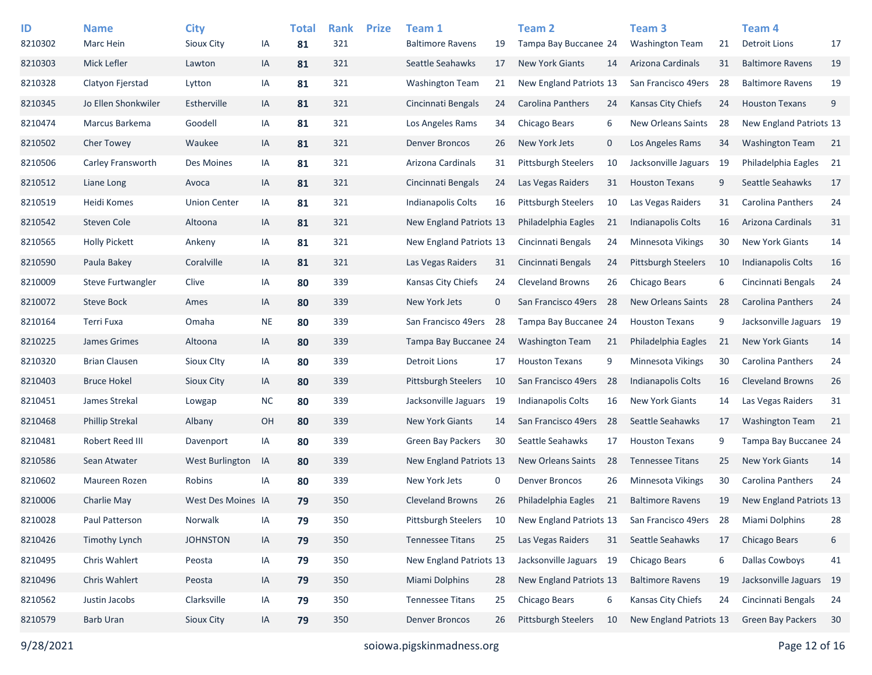| ID<br>8210302 | <b>Name</b><br>Marc Hein | <b>City</b><br>Sioux City | IA        | <b>Total</b><br>81 | <b>Rank</b><br>321 | <b>Prize</b> | Team 1<br><b>Baltimore Ravens</b> | 19          | <b>Team 2</b><br>Tampa Bay Buccanee 24 |      | Team <sub>3</sub><br><b>Washington Team</b> | 21  | Team <sub>4</sub><br><b>Detroit Lions</b> | 17 |
|---------------|--------------------------|---------------------------|-----------|--------------------|--------------------|--------------|-----------------------------------|-------------|----------------------------------------|------|---------------------------------------------|-----|-------------------------------------------|----|
| 8210303       | Mick Lefler              | Lawton                    | IA        | 81                 | 321                |              | Seattle Seahawks                  | 17          | <b>New York Giants</b>                 | 14   | Arizona Cardinals                           | 31  | <b>Baltimore Ravens</b>                   | 19 |
| 8210328       | Clatyon Fjerstad         | Lytton                    | IA        | 81                 | 321                |              | <b>Washington Team</b>            | 21          | New England Patriots 13                |      | San Francisco 49ers                         | -28 | <b>Baltimore Ravens</b>                   | 19 |
| 8210345       | Jo Ellen Shonkwiler      | Estherville               | IA        | 81                 | 321                |              | Cincinnati Bengals                | 24          | <b>Carolina Panthers</b>               | 24   | Kansas City Chiefs                          | 24  | <b>Houston Texans</b>                     | 9  |
| 8210474       | Marcus Barkema           | Goodell                   | IA        | 81                 | 321                |              | Los Angeles Rams                  | 34          | Chicago Bears                          | 6    | <b>New Orleans Saints</b>                   | 28  | New England Patriots 13                   |    |
| 8210502       | <b>Cher Towey</b>        | Waukee                    | IA        | 81                 | 321                |              | <b>Denver Broncos</b>             | 26          | New York Jets                          | 0    | Los Angeles Rams                            | 34  | <b>Washington Team</b>                    | 21 |
| 8210506       | Carley Fransworth        | Des Moines                | IA        | 81                 | 321                |              | Arizona Cardinals                 | 31          | <b>Pittsburgh Steelers</b>             | 10   | Jacksonville Jaguars                        | -19 | Philadelphia Eagles                       | 21 |
| 8210512       | Liane Long               | Avoca                     | IA        | 81                 | 321                |              | Cincinnati Bengals                | 24          | Las Vegas Raiders                      | 31   | <b>Houston Texans</b>                       | 9   | Seattle Seahawks                          | 17 |
| 8210519       | Heidi Komes              | <b>Union Center</b>       | IA        | 81                 | 321                |              | <b>Indianapolis Colts</b>         | 16          | <b>Pittsburgh Steelers</b>             | 10   | Las Vegas Raiders                           | 31  | Carolina Panthers                         | 24 |
| 8210542       | Steven Cole              | Altoona                   | IA        | 81                 | 321                |              | New England Patriots 13           |             | Philadelphia Eagles                    | 21   | Indianapolis Colts                          | 16  | Arizona Cardinals                         | 31 |
| 8210565       | <b>Holly Pickett</b>     | Ankeny                    | IA        | 81                 | 321                |              | New England Patriots 13           |             | Cincinnati Bengals                     | 24   | Minnesota Vikings                           | 30  | <b>New York Giants</b>                    | 14 |
| 8210590       | Paula Bakey              | Coralville                | IA        | 81                 | 321                |              | Las Vegas Raiders                 | 31          | Cincinnati Bengals                     | 24   | <b>Pittsburgh Steelers</b>                  | 10  | Indianapolis Colts                        | 16 |
| 8210009       | Steve Furtwangler        | Clive                     | IA        | 80                 | 339                |              | Kansas City Chiefs                | 24          | <b>Cleveland Browns</b>                | 26   | Chicago Bears                               | 6   | Cincinnati Bengals                        | 24 |
| 8210072       | <b>Steve Bock</b>        | Ames                      | IA        | 80                 | 339                |              | New York Jets                     | $\mathbf 0$ | San Francisco 49ers                    | - 28 | <b>New Orleans Saints</b>                   | 28  | Carolina Panthers                         | 24 |
| 8210164       | Terri Fuxa               | Omaha                     | <b>NE</b> | 80                 | 339                |              | San Francisco 49ers               | 28          | Tampa Bay Buccanee 24                  |      | <b>Houston Texans</b>                       | 9   | Jacksonville Jaguars 19                   |    |
| 8210225       | James Grimes             | Altoona                   | IA        | 80                 | 339                |              | Tampa Bay Buccanee 24             |             | <b>Washington Team</b>                 | 21   | Philadelphia Eagles                         | 21  | <b>New York Giants</b>                    | 14 |
| 8210320       | <b>Brian Clausen</b>     | <b>Sioux Clty</b>         | IA        | 80                 | 339                |              | Detroit Lions                     | 17          | <b>Houston Texans</b>                  | 9    | Minnesota Vikings                           | 30  | Carolina Panthers                         | 24 |
| 8210403       | <b>Bruce Hokel</b>       | Sioux City                | IA        | 80                 | 339                |              | Pittsburgh Steelers               | 10          | San Francisco 49ers                    | - 28 | Indianapolis Colts                          | 16  | <b>Cleveland Browns</b>                   | 26 |
| 8210451       | James Strekal            | Lowgap                    | <b>NC</b> | 80                 | 339                |              | Jacksonville Jaguars              | 19          | <b>Indianapolis Colts</b>              | 16   | <b>New York Giants</b>                      | 14  | Las Vegas Raiders                         | 31 |
| 8210468       | <b>Phillip Strekal</b>   | Albany                    | OH        | 80                 | 339                |              | <b>New York Giants</b>            | 14          | San Francisco 49ers                    | 28   | Seattle Seahawks                            | 17  | <b>Washington Team</b>                    | 21 |
| 8210481       | Robert Reed III          | Davenport                 | IA        | 80                 | 339                |              | <b>Green Bay Packers</b>          | 30          | Seattle Seahawks                       | 17   | <b>Houston Texans</b>                       | 9   | Tampa Bay Buccanee 24                     |    |
| 8210586       | Sean Atwater             | West Burlington           | IA        | 80                 | 339                |              | New England Patriots 13           |             | <b>New Orleans Saints</b>              | 28   | <b>Tennessee Titans</b>                     | 25  | <b>New York Giants</b>                    | 14 |
| 8210602       | Maureen Rozen            | Robins                    | IA        | 80                 | 339                |              | New York Jets                     | 0           | <b>Denver Broncos</b>                  | 26   | Minnesota Vikings                           | 30  | Carolina Panthers                         | 24 |
| 8210006       | Charlie May              | West Des Moines IA        |           | 79                 | 350                |              | <b>Cleveland Browns</b>           | 26          | Philadelphia Eagles                    | 21   | <b>Baltimore Ravens</b>                     | 19  | New England Patriots 13                   |    |
| 8210028       | Paul Patterson           | Norwalk                   | IA        | 79                 | 350                |              | <b>Pittsburgh Steelers</b>        | 10          | New England Patriots 13                |      | San Francisco 49ers                         | 28  | <b>Miami Dolphins</b>                     | 28 |
| 8210426       | <b>Timothy Lynch</b>     | <b>JOHNSTON</b>           | IA        | 79                 | 350                |              | <b>Tennessee Titans</b>           | 25          | Las Vegas Raiders                      | 31   | Seattle Seahawks                            | 17  | Chicago Bears                             | 6  |
| 8210495       | Chris Wahlert            | Peosta                    | IA        | 79                 | 350                |              | New England Patriots 13           |             | Jacksonville Jaguars 19                |      | <b>Chicago Bears</b>                        | 6   | <b>Dallas Cowboys</b>                     | 41 |
| 8210496       | Chris Wahlert            | Peosta                    | IA        | 79                 | 350                |              | Miami Dolphins                    | 28          | New England Patriots 13                |      | <b>Baltimore Ravens</b>                     | 19  | Jacksonville Jaguars 19                   |    |
| 8210562       | Justin Jacobs            | Clarksville               | IA        | 79                 | 350                |              | <b>Tennessee Titans</b>           | 25          | Chicago Bears                          | 6    | Kansas City Chiefs                          | 24  | Cincinnati Bengals                        | 24 |
| 8210579       | <b>Barb Uran</b>         | Sioux City                | IA        | 79                 | 350                |              | <b>Denver Broncos</b>             | 26          | Pittsburgh Steelers                    | 10   | New England Patriots 13                     |     | <b>Green Bay Packers</b>                  | 30 |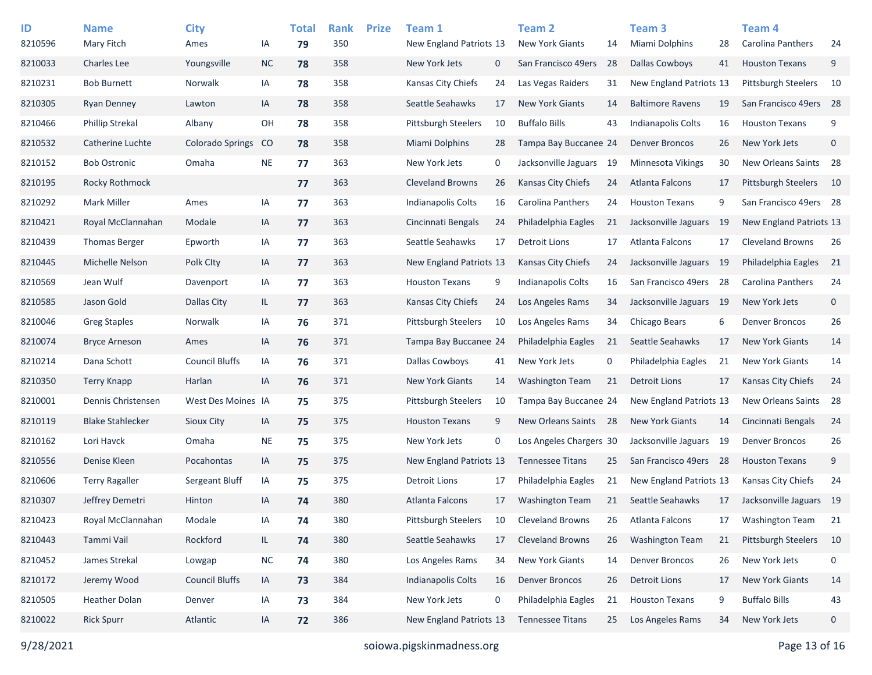| ID<br>8210596 | <b>Name</b><br>Mary Fitch | <b>City</b><br>Ames     | IA         | <b>Total</b><br>79 | <b>Rank</b><br>350 | <b>Prize</b> | Team 1<br>New England Patriots 13 |             | Team <sub>2</sub><br><b>New York Giants</b> | 14   | Team <sub>3</sub><br>Miami Dolphins | 28   | Team <sub>4</sub><br><b>Carolina Panthers</b> | 24          |
|---------------|---------------------------|-------------------------|------------|--------------------|--------------------|--------------|-----------------------------------|-------------|---------------------------------------------|------|-------------------------------------|------|-----------------------------------------------|-------------|
| 8210033       | <b>Charles Lee</b>        | Youngsville             | $NC$       | 78                 | 358                |              | New York Jets                     | $\mathbf 0$ | San Francisco 49ers                         | 28   | <b>Dallas Cowboys</b>               | 41   | <b>Houston Texans</b>                         | 9           |
| 8210231       | <b>Bob Burnett</b>        | Norwalk                 | IA         | 78                 | 358                |              | Kansas City Chiefs                | 24          | Las Vegas Raiders                           | 31   | New England Patriots 13             |      | <b>Pittsburgh Steelers</b>                    | 10          |
| 8210305       | <b>Ryan Denney</b>        | Lawton                  | IA         | 78                 | 358                |              | Seattle Seahawks                  | 17          | <b>New York Giants</b>                      | 14   | <b>Baltimore Ravens</b>             | 19   | San Francisco 49ers                           | 28          |
| 8210466       | <b>Phillip Strekal</b>    | Albany                  | OH         | 78                 | 358                |              | <b>Pittsburgh Steelers</b>        | 10          | <b>Buffalo Bills</b>                        | 43   | Indianapolis Colts                  | 16   | <b>Houston Texans</b>                         | 9           |
| 8210532       | Catherine Luchte          | <b>Colorado Springs</b> | CO         | 78                 | 358                |              | Miami Dolphins                    | 28          | Tampa Bay Buccanee 24                       |      | <b>Denver Broncos</b>               | 26   | New York Jets                                 | $\mathbf 0$ |
| 8210152       | <b>Bob Ostronic</b>       | Omaha                   | <b>NE</b>  | 77                 | 363                |              | New York Jets                     | 0           | Jacksonville Jaguars                        | -19  | Minnesota Vikings                   | 30   | New Orleans Saints 28                         |             |
| 8210195       | Rocky Rothmock            |                         |            | 77                 | 363                |              | <b>Cleveland Browns</b>           | 26          | <b>Kansas City Chiefs</b>                   | 24   | <b>Atlanta Falcons</b>              | 17   | <b>Pittsburgh Steelers</b>                    | 10          |
| 8210292       | <b>Mark Miller</b>        | Ames                    | IA         | 77                 | 363                |              | Indianapolis Colts                | 16          | <b>Carolina Panthers</b>                    | 24   | <b>Houston Texans</b>               | 9    | San Francisco 49ers 28                        |             |
| 8210421       | Royal McClannahan         | Modale                  | IA         | 77                 | 363                |              | Cincinnati Bengals                | 24          | Philadelphia Eagles                         | 21   | Jacksonville Jaguars                | - 19 | New England Patriots 13                       |             |
| 8210439       | <b>Thomas Berger</b>      | Epworth                 | IA         | 77                 | 363                |              | Seattle Seahawks                  | 17          | <b>Detroit Lions</b>                        | 17   | Atlanta Falcons                     | 17   | <b>Cleveland Browns</b>                       | 26          |
| 8210445       | Michelle Nelson           | Polk City               | IA         | 77                 | 363                |              | New England Patriots 13           |             | Kansas City Chiefs                          | 24   | Jacksonville Jaguars 19             |      | Philadelphia Eagles                           | 21          |
| 8210569       | Jean Wulf                 | Davenport               | IA         | 77                 | 363                |              | <b>Houston Texans</b>             | 9           | Indianapolis Colts                          | 16   | San Francisco 49ers                 | 28   | Carolina Panthers                             | 24          |
| 8210585       | Jason Gold                | Dallas City             | IL.        | 77                 | 363                |              | Kansas City Chiefs                | 24          | Los Angeles Rams                            | 34   | Jacksonville Jaguars 19             |      | New York Jets                                 | $\mathsf 0$ |
| 8210046       | <b>Greg Staples</b>       | Norwalk                 | IA         | 76                 | 371                |              | <b>Pittsburgh Steelers</b>        | 10          | Los Angeles Rams                            | 34   | Chicago Bears                       | 6    | <b>Denver Broncos</b>                         | 26          |
| 8210074       | <b>Bryce Arneson</b>      | Ames                    | IA         | 76                 | 371                |              | Tampa Bay Buccanee 24             |             | Philadelphia Eagles                         | 21   | Seattle Seahawks                    | 17   | <b>New York Giants</b>                        | 14          |
| 8210214       | Dana Schott               | <b>Council Bluffs</b>   | IA         | 76                 | 371                |              | Dallas Cowboys                    | 41          | New York Jets                               | 0    | Philadelphia Eagles                 | 21   | New York Giants                               | 14          |
| 8210350       | <b>Terry Knapp</b>        | Harlan                  | IA         | 76                 | 371                |              | <b>New York Giants</b>            | 14          | <b>Washington Team</b>                      | 21   | <b>Detroit Lions</b>                | 17   | <b>Kansas City Chiefs</b>                     | 24          |
| 8210001       | Dennis Christensen        | West Des Moines IA      |            | 75                 | 375                |              | <b>Pittsburgh Steelers</b>        | 10          | Tampa Bay Buccanee 24                       |      | New England Patriots 13             |      | New Orleans Saints                            | 28          |
| 8210119       | <b>Blake Stahlecker</b>   | <b>Sioux City</b>       | IA         | 75                 | 375                |              | <b>Houston Texans</b>             | 9           | New Orleans Saints                          | - 28 | <b>New York Giants</b>              | 14   | Cincinnati Bengals                            | 24          |
| 8210162       | Lori Havck                | Omaha                   | <b>NE</b>  | 75                 | 375                |              | New York Jets                     | 0           | Los Angeles Chargers 30                     |      | Jacksonville Jaguars                | 19   | <b>Denver Broncos</b>                         | 26          |
| 8210556       | Denise Kleen              | Pocahontas              | IA         | 75                 | 375                |              | New England Patriots 13           |             | <b>Tennessee Titans</b>                     | 25   | San Francisco 49ers                 | - 28 | <b>Houston Texans</b>                         | 9           |
| 8210606       | <b>Terry Ragaller</b>     | Sergeant Bluff          | IA         | 75                 | 375                |              | Detroit Lions                     | 17          | Philadelphia Eagles                         | 21   | New England Patriots 13             |      | Kansas City Chiefs                            | 24          |
| 8210307       | Jeffrey Demetri           | Hinton                  | IA         | 74                 | 380                |              | Atlanta Falcons                   | 17          | <b>Washington Team</b>                      | 21   | Seattle Seahawks                    | 17   | Jacksonville Jaguars 19                       |             |
| 8210423       | Royal McClannahan         | Modale                  | IA         | 74                 | 380                |              | Pittsburgh Steelers               | 10          | <b>Cleveland Browns</b>                     | 26   | Atlanta Falcons                     | 17   | <b>Washington Team</b>                        | 21          |
| 8210443       | Tammi Vail                | Rockford                | IL         | 74                 | 380                |              | Seattle Seahawks                  | 17          | <b>Cleveland Browns</b>                     | 26   | <b>Washington Team</b>              | 21   | Pittsburgh Steelers                           | 10          |
| 8210452       | James Strekal             | Lowgap                  | ${\sf NC}$ | 74                 | 380                |              | Los Angeles Rams                  | 34          | New York Giants                             | 14   | <b>Denver Broncos</b>               | 26   | New York Jets                                 | 0           |
| 8210172       | Jeremy Wood               | <b>Council Bluffs</b>   | IA         | 73                 | 384                |              | <b>Indianapolis Colts</b>         | 16          | <b>Denver Broncos</b>                       | 26   | <b>Detroit Lions</b>                | 17   | New York Giants                               | 14          |
| 8210505       | <b>Heather Dolan</b>      | Denver                  | IA         | 73                 | 384                |              | New York Jets                     | 0           | Philadelphia Eagles                         | 21   | <b>Houston Texans</b>               | 9    | <b>Buffalo Bills</b>                          | 43          |
| 8210022       | <b>Rick Spurr</b>         | Atlantic                | IA         | 72                 | 386                |              | New England Patriots 13           |             | <b>Tennessee Titans</b>                     | 25   | Los Angeles Rams                    | 34   | New York Jets                                 | 0           |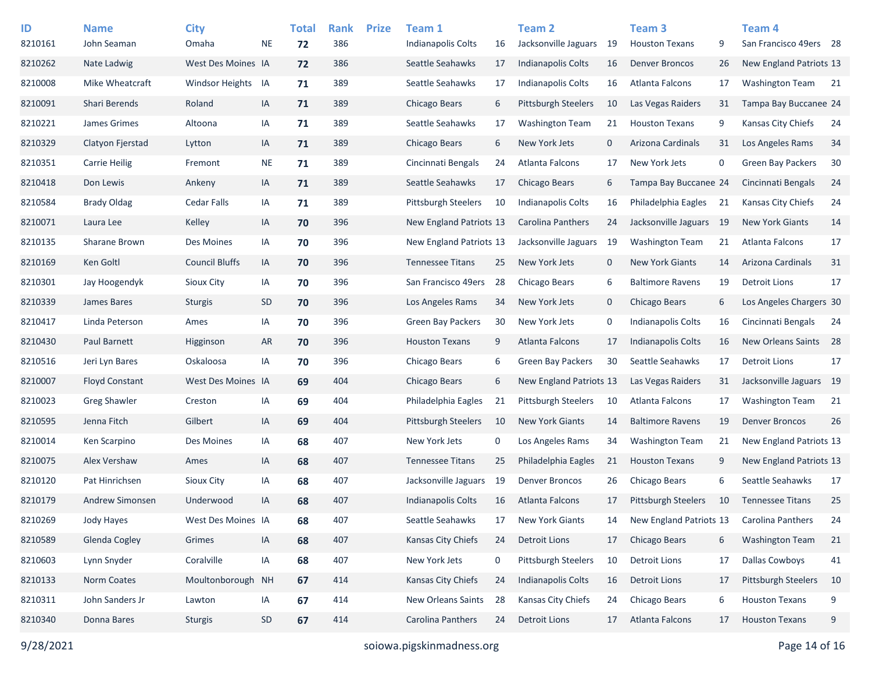| ID      | <b>Name</b>           | <b>City</b>           |           | <b>Total</b> | <b>Rank</b> | <b>Prize</b> | Team 1                     |    | Team 2                     |    | Team <sub>3</sub>          |      | Team <sub>4</sub>        |      |
|---------|-----------------------|-----------------------|-----------|--------------|-------------|--------------|----------------------------|----|----------------------------|----|----------------------------|------|--------------------------|------|
| 8210161 | John Seaman           | Omaha                 | <b>NE</b> | 72           | 386         |              | Indianapolis Colts         | 16 | Jacksonville Jaguars       | 19 | <b>Houston Texans</b>      | 9    | San Francisco 49ers 28   |      |
| 8210262 | Nate Ladwig           | West Des Moines IA    |           | 72           | 386         |              | Seattle Seahawks           | 17 | <b>Indianapolis Colts</b>  | 16 | Denver Broncos             | 26   | New England Patriots 13  |      |
| 8210008 | Mike Wheatcraft       | Windsor Heights IA    |           | 71           | 389         |              | Seattle Seahawks           | 17 | Indianapolis Colts         | 16 | Atlanta Falcons            | 17   | <b>Washington Team</b>   | - 21 |
| 8210091 | <b>Shari Berends</b>  | Roland                | IA        | 71           | 389         |              | Chicago Bears              | 6  | <b>Pittsburgh Steelers</b> | 10 | Las Vegas Raiders          | 31   | Tampa Bay Buccanee 24    |      |
| 8210221 | James Grimes          | Altoona               | IA        | 71           | 389         |              | Seattle Seahawks           | 17 | <b>Washington Team</b>     | 21 | <b>Houston Texans</b>      | 9    | Kansas City Chiefs       | 24   |
| 8210329 | Clatyon Fjerstad      | Lytton                | IA        | 71           | 389         |              | Chicago Bears              | 6  | New York Jets              | 0  | Arizona Cardinals          | 31   | Los Angeles Rams         | 34   |
| 8210351 | <b>Carrie Heilig</b>  | Fremont               | <b>NE</b> | 71           | 389         |              | Cincinnati Bengals         | 24 | <b>Atlanta Falcons</b>     | 17 | New York Jets              | 0    | <b>Green Bay Packers</b> | 30   |
| 8210418 | Don Lewis             | Ankeny                | IA        | 71           | 389         |              | Seattle Seahawks           | 17 | Chicago Bears              | 6  | Tampa Bay Buccanee 24      |      | Cincinnati Bengals       | 24   |
| 8210584 | <b>Brady Oldag</b>    | <b>Cedar Falls</b>    | IA        | 71           | 389         |              | <b>Pittsburgh Steelers</b> | 10 | <b>Indianapolis Colts</b>  | 16 | Philadelphia Eagles        | 21   | Kansas City Chiefs       | 24   |
| 8210071 | Laura Lee             | Kelley                | IA        | 70           | 396         |              | New England Patriots 13    |    | Carolina Panthers          | 24 | Jacksonville Jaguars       | - 19 | <b>New York Giants</b>   | 14   |
| 8210135 | Sharane Brown         | Des Moines            | IA        | 70           | 396         |              | New England Patriots 13    |    | Jacksonville Jaguars       | 19 | <b>Washington Team</b>     | 21   | Atlanta Falcons          | 17   |
| 8210169 | Ken Goltl             | <b>Council Bluffs</b> | IA        | 70           | 396         |              | <b>Tennessee Titans</b>    | 25 | New York Jets              | 0  | <b>New York Giants</b>     | 14   | Arizona Cardinals        | 31   |
| 8210301 | Jay Hoogendyk         | Sioux City            | IA        | 70           | 396         |              | San Francisco 49ers        | 28 | Chicago Bears              | 6  | <b>Baltimore Ravens</b>    | 19   | <b>Detroit Lions</b>     | 17   |
| 8210339 | James Bares           | <b>Sturgis</b>        | <b>SD</b> | 70           | 396         |              | Los Angeles Rams           | 34 | New York Jets              | 0  | Chicago Bears              | 6    | Los Angeles Chargers 30  |      |
| 8210417 | Linda Peterson        | Ames                  | IA        | 70           | 396         |              | <b>Green Bay Packers</b>   | 30 | New York Jets              | 0  | <b>Indianapolis Colts</b>  | 16   | Cincinnati Bengals       | 24   |
| 8210430 | Paul Barnett          | Higginson             | AR        | 70           | 396         |              | <b>Houston Texans</b>      | 9  | Atlanta Falcons            | 17 | Indianapolis Colts         | 16   | New Orleans Saints       | 28   |
| 8210516 | Jeri Lyn Bares        | Oskaloosa             | IA        | 70           | 396         |              | Chicago Bears              | 6  | <b>Green Bay Packers</b>   | 30 | Seattle Seahawks           | 17   | <b>Detroit Lions</b>     | 17   |
| 8210007 | <b>Floyd Constant</b> | West Des Moines IA    |           | 69           | 404         |              | Chicago Bears              | 6  | New England Patriots 13    |    | Las Vegas Raiders          | 31   | Jacksonville Jaguars 19  |      |
| 8210023 | <b>Greg Shawler</b>   | Creston               | IA        | 69           | 404         |              | Philadelphia Eagles        | 21 | <b>Pittsburgh Steelers</b> | 10 | Atlanta Falcons            | 17   | <b>Washington Team</b>   | 21   |
| 8210595 | Jenna Fitch           | Gilbert               | IA        | 69           | 404         |              | <b>Pittsburgh Steelers</b> | 10 | <b>New York Giants</b>     | 14 | <b>Baltimore Ravens</b>    | 19   | <b>Denver Broncos</b>    | 26   |
| 8210014 | Ken Scarpino          | Des Moines            | IA        | 68           | 407         |              | New York Jets              | 0  | Los Angeles Rams           | 34 | <b>Washington Team</b>     | 21   | New England Patriots 13  |      |
| 8210075 | Alex Vershaw          | Ames                  | IA        | 68           | 407         |              | <b>Tennessee Titans</b>    | 25 | Philadelphia Eagles        | 21 | <b>Houston Texans</b>      | 9    | New England Patriots 13  |      |
| 8210120 | Pat Hinrichsen        | Sioux City            | IA        | 68           | 407         |              | Jacksonville Jaguars       | 19 | <b>Denver Broncos</b>      | 26 | Chicago Bears              | 6    | Seattle Seahawks         | 17   |
| 8210179 | Andrew Simonsen       | Underwood             | IA        | 68           | 407         |              | Indianapolis Colts         | 16 | Atlanta Falcons            | 17 | <b>Pittsburgh Steelers</b> | 10   | <b>Tennessee Titans</b>  | 25   |
| 8210269 | Jody Hayes            | West Des Moines IA    |           | 68           | 407         |              | Seattle Seahawks           | 17 | <b>New York Giants</b>     | 14 | New England Patriots 13    |      | <b>Carolina Panthers</b> | 24   |
| 8210589 | Glenda Cogley         | Grimes                | IA        | 68           | 407         |              | Kansas City Chiefs         | 24 | <b>Detroit Lions</b>       | 17 | Chicago Bears              | 6    | <b>Washington Team</b>   | 21   |
| 8210603 | Lynn Snyder           | Coralville            | IA        | 68           | 407         |              | New York Jets              | 0  | <b>Pittsburgh Steelers</b> | 10 | <b>Detroit Lions</b>       | 17   | <b>Dallas Cowboys</b>    | 41   |
| 8210133 | Norm Coates           | Moultonborough        | <b>NH</b> | 67           | 414         |              | Kansas City Chiefs         | 24 | <b>Indianapolis Colts</b>  | 16 | <b>Detroit Lions</b>       | 17   | Pittsburgh Steelers      | 10   |
| 8210311 | John Sanders Jr       | Lawton                | IA        | 67           | 414         |              | New Orleans Saints         | 28 | Kansas City Chiefs         | 24 | Chicago Bears              | 6    | <b>Houston Texans</b>    | 9    |
| 8210340 | Donna Bares           | <b>Sturgis</b>        | <b>SD</b> | 67           | 414         |              | Carolina Panthers          | 24 | <b>Detroit Lions</b>       | 17 | Atlanta Falcons            | 17   | <b>Houston Texans</b>    | 9    |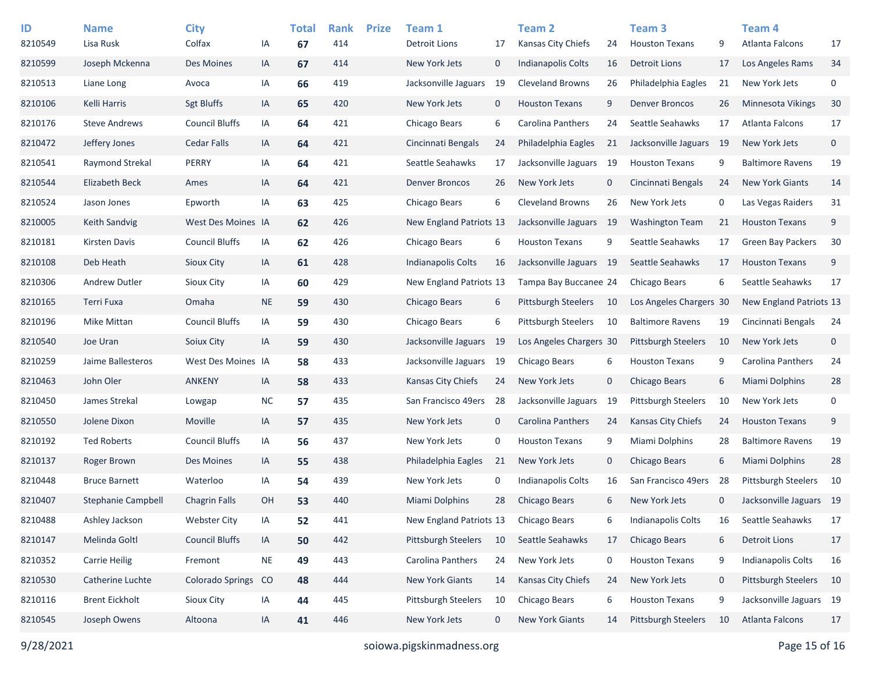| ID<br>8210549 | <b>Name</b><br>Lisa Rusk | <b>City</b><br>Colfax   | ΙA            | <b>Total</b><br>67 | <b>Rank</b><br>414 | <b>Prize</b> | Team 1<br>Detroit Lions    | 17          | Team 2<br><b>Kansas City Chiefs</b> | 24   | Team <sub>3</sub><br><b>Houston Texans</b> | 9            | Team 4<br><b>Atlanta Falcons</b> | 17          |
|---------------|--------------------------|-------------------------|---------------|--------------------|--------------------|--------------|----------------------------|-------------|-------------------------------------|------|--------------------------------------------|--------------|----------------------------------|-------------|
| 8210599       | Joseph Mckenna           | Des Moines              | IA            | 67                 | 414                |              | New York Jets              | $\mathbf 0$ | <b>Indianapolis Colts</b>           | 16   | <b>Detroit Lions</b>                       | 17           | Los Angeles Rams                 | 34          |
| 8210513       | Liane Long               | Avoca                   | IA            | 66                 | 419                |              | Jacksonville Jaguars       | 19          | <b>Cleveland Browns</b>             | 26   | Philadelphia Eagles                        | 21           | New York Jets                    | 0           |
| 8210106       | Kelli Harris             | <b>Sgt Bluffs</b>       | IA            | 65                 | 420                |              | New York Jets              | $\mathbf 0$ | <b>Houston Texans</b>               | 9    | <b>Denver Broncos</b>                      | 26           | Minnesota Vikings                | 30          |
| 8210176       | <b>Steve Andrews</b>     | <b>Council Bluffs</b>   | IA            | 64                 | 421                |              | Chicago Bears              | 6           | Carolina Panthers                   | 24   | Seattle Seahawks                           | 17           | Atlanta Falcons                  | 17          |
| 8210472       | Jeffery Jones            | <b>Cedar Falls</b>      | IA            | 64                 | 421                |              | Cincinnati Bengals         | 24          | Philadelphia Eagles                 | 21   | Jacksonville Jaguars                       | -19          | New York Jets                    | 0           |
| 8210541       | Raymond Strekal          | PERRY                   | IA            |                    | 421                |              | Seattle Seahawks           | 17          | Jacksonville Jaguars                | 19   | <b>Houston Texans</b>                      | 9            | <b>Baltimore Ravens</b>          | 19          |
|               |                          |                         |               | 64                 |                    |              |                            |             |                                     |      |                                            |              |                                  |             |
| 8210544       | Elizabeth Beck           | Ames                    | IA            | 64                 | 421                |              | <b>Denver Broncos</b>      | 26          | New York Jets                       | 0    | Cincinnati Bengals                         | 24           | <b>New York Giants</b>           | 14          |
| 8210524       | Jason Jones              | Epworth                 | IA            | 63                 | 425                |              | Chicago Bears              | 6           | <b>Cleveland Browns</b>             | 26   | New York Jets                              | 0            | Las Vegas Raiders                | 31          |
| 8210005       | Keith Sandvig            | West Des Moines IA      |               | 62                 | 426                |              | New England Patriots 13    |             | Jacksonville Jaguars                | - 19 | <b>Washington Team</b>                     | 21           | <b>Houston Texans</b>            | 9           |
| 8210181       | <b>Kirsten Davis</b>     | <b>Council Bluffs</b>   | IA            | 62                 | 426                |              | Chicago Bears              | 6           | <b>Houston Texans</b>               | 9    | Seattle Seahawks                           | 17           | <b>Green Bay Packers</b>         | 30          |
| 8210108       | Deb Heath                | Sioux City              | IA            | 61                 | 428                |              | Indianapolis Colts         | 16          | Jacksonville Jaguars 19             |      | Seattle Seahawks                           | 17           | <b>Houston Texans</b>            | 9           |
| 8210306       | <b>Andrew Dutler</b>     | <b>Sioux City</b>       | IA            | 60                 | 429                |              | New England Patriots 13    |             | Tampa Bay Buccanee 24               |      | Chicago Bears                              | 6            | Seattle Seahawks                 | 17          |
| 8210165       | Terri Fuxa               | Omaha                   | <b>NE</b>     | 59                 | 430                |              | Chicago Bears              | 6           | <b>Pittsburgh Steelers</b>          | 10   | Los Angeles Chargers 30                    |              | New England Patriots 13          |             |
| 8210196       | Mike Mittan              | <b>Council Bluffs</b>   | IA            | 59                 | 430                |              | Chicago Bears              | 6           | <b>Pittsburgh Steelers</b>          | 10   | <b>Baltimore Ravens</b>                    | 19           | Cincinnati Bengals               | 24          |
| 8210540       | Joe Uran                 | Soiux City              | IA            | 59                 | 430                |              | Jacksonville Jaguars       | -19         | Los Angeles Chargers 30             |      | <b>Pittsburgh Steelers</b>                 | 10           | New York Jets                    | $\mathbf 0$ |
| 8210259       | Jaime Ballesteros        | West Des Moines IA      |               | 58                 | 433                |              | Jacksonville Jaguars       | 19          | Chicago Bears                       | 6    | <b>Houston Texans</b>                      | 9            | Carolina Panthers                | 24          |
| 8210463       | John Oler                | <b>ANKENY</b>           | IA            | 58                 | 433                |              | Kansas City Chiefs         | 24          | New York Jets                       | 0    | Chicago Bears                              | 6            | Miami Dolphins                   | 28          |
| 8210450       | James Strekal            | Lowgap                  | $NC$          | 57                 | 435                |              | San Francisco 49ers        | 28          | Jacksonville Jaguars                | 19   | <b>Pittsburgh Steelers</b>                 | 10           | New York Jets                    | 0           |
| 8210550       | Jolene Dixon             | Moville                 | IA            | 57                 | 435                |              | New York Jets              | $\mathbf 0$ | Carolina Panthers                   | 24   | Kansas City Chiefs                         | 24           | <b>Houston Texans</b>            | 9           |
| 8210192       | <b>Ted Roberts</b>       | <b>Council Bluffs</b>   | IA            | 56                 | 437                |              | New York Jets              | 0           | <b>Houston Texans</b>               | 9    | Miami Dolphins                             | 28           | <b>Baltimore Ravens</b>          | 19          |
| 8210137       | Roger Brown              | <b>Des Moines</b>       | IA            | 55                 | 438                |              | Philadelphia Eagles        | 21          | New York Jets                       | 0    | Chicago Bears                              | 6            | Miami Dolphins                   | 28          |
| 8210448       | <b>Bruce Barnett</b>     | Waterloo                | IA            | 54                 | 439                |              | New York Jets              | 0           | Indianapolis Colts                  | 16   | San Francisco 49ers                        | -28          | Pittsburgh Steelers              | 10          |
| 8210407       | Stephanie Campbell       | <b>Chagrin Falls</b>    | <b>OH</b>     | 53                 | 440                |              | Miami Dolphins             | 28          | Chicago Bears                       | 6    | New York Jets                              | $\mathbf{0}$ | Jacksonville Jaguars 19          |             |
| 8210488       | Ashley Jackson           | <b>Webster City</b>     | IA            | 52                 | 441                |              | New England Patriots 13    |             | Chicago Bears                       | 6    | <b>Indianapolis Colts</b>                  | 16           | Seattle Seahawks                 | 17          |
| 8210147       | Melinda Goltl            | <b>Council Bluffs</b>   | IA            | 50                 | 442                |              | <b>Pittsburgh Steelers</b> | 10          | Seattle Seahawks                    | 17   | Chicago Bears                              | 6            | <b>Detroit Lions</b>             | 17          |
| 8210352       | <b>Carrie Heilig</b>     | Fremont                 | $\sf NE$      | 49                 | 443                |              | Carolina Panthers          | 24          | New York Jets                       | 0    | <b>Houston Texans</b>                      | 9            | <b>Indianapolis Colts</b>        | 16          |
| 8210530       | Catherine Luchte         | <b>Colorado Springs</b> | <sub>co</sub> | 48                 | 444                |              | New York Giants            | 14          | Kansas City Chiefs                  | 24   | New York Jets                              | $\mathbf 0$  | Pittsburgh Steelers              | 10          |
| 8210116       | <b>Brent Eickholt</b>    | Sioux City              | IA            | 44                 | 445                |              | Pittsburgh Steelers        | 10          | Chicago Bears                       | 6    | <b>Houston Texans</b>                      | 9            | Jacksonville Jaguars 19          |             |
| 8210545       | Joseph Owens             | Altoona                 | IA            | 41                 | 446                |              | New York Jets              | $\mathbf 0$ | New York Giants                     | 14   | Pittsburgh Steelers                        | 10           | Atlanta Falcons                  | 17          |